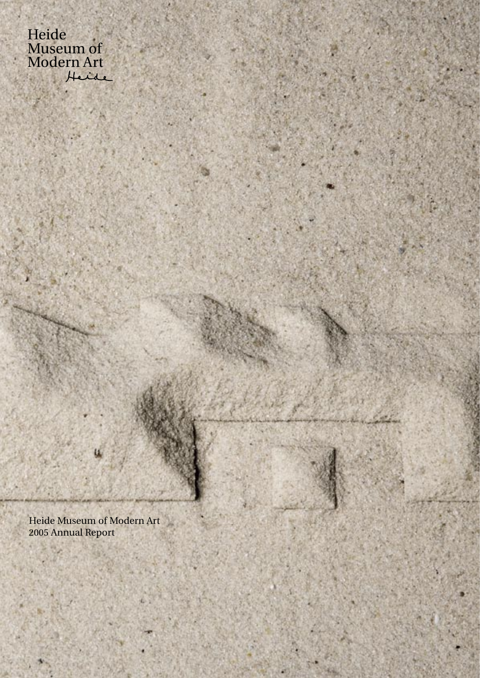Heide<br>Museum of<br>Modern Art Heide

Heide Museum of Modern Art<br>2005 Annual Report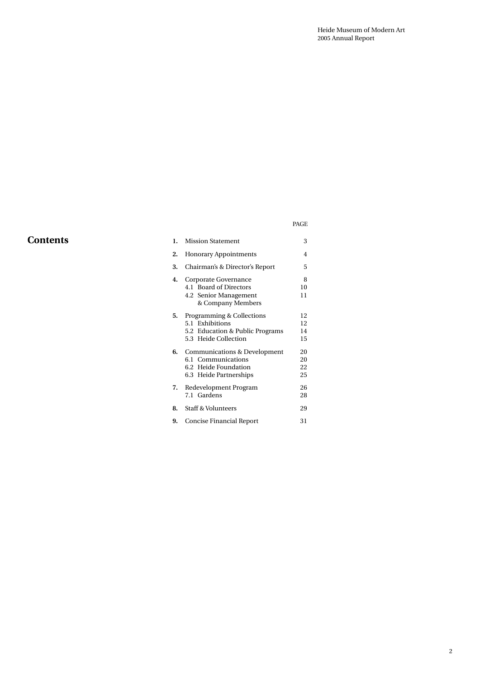# **Contents 1. Mission Statement** 3

# PAGE

| 2. | <b>Honorary Appointments</b>                                                                            | 4                    |
|----|---------------------------------------------------------------------------------------------------------|----------------------|
| 3. | Chairman's & Director's Report                                                                          | 5                    |
| 4. | Corporate Governance<br>4.1 Board of Directors<br>4.2 Senior Management<br>& Company Members            | 8<br>10<br>11        |
| 5. | Programming & Collections<br>5.1 Exhibitions<br>5.2 Education & Public Programs<br>5.3 Heide Collection | 12<br>12<br>14<br>15 |
| 6. | Communications & Development<br>6.1 Communications<br>6.2 Heide Foundation<br>6.3 Heide Partnerships    | 20<br>20<br>22<br>25 |
| 7. | Redevelopment Program<br>7.1 Gardens                                                                    | 26<br>28             |
| 8. | Staff & Volunteers                                                                                      | 29                   |
| 9. | <b>Concise Financial Report</b>                                                                         | 31                   |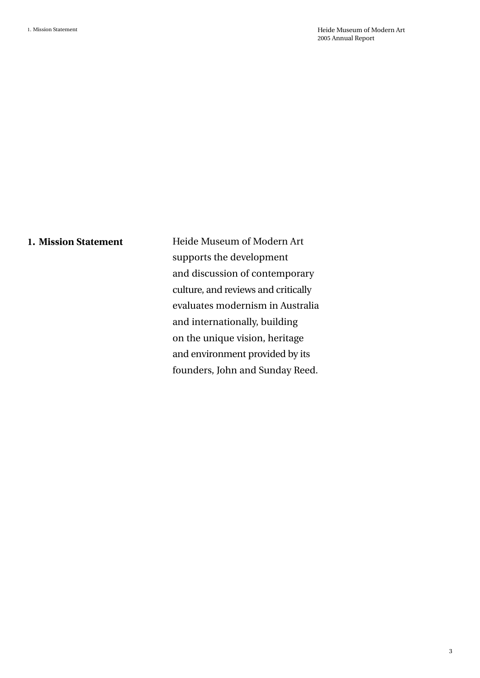# **1. Mission Statement**

Heide Museum of Modern Art supports the development and discussion of contemporary culture, and reviews and critically evaluates modernism in Australia and internationally, building on the unique vision, heritage and environment provided by its founders, John and Sunday Reed.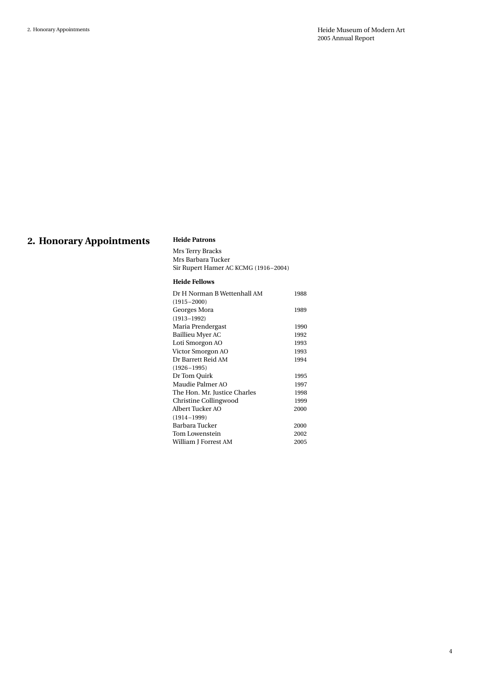# **2. Honorary Appointments**

### **Heide Patrons**

Mrs Terry Bracks Mrs Barbara Tucker Sir Rupert Hamer AC KCMG (1916–2004)

### **Heide Fellows**

| Dr H Norman B Wettenhall AM  | 1988 |
|------------------------------|------|
| $(1915 - 2000)$              |      |
| Georges Mora                 | 1989 |
| $(1913 - 1992)$              |      |
| Maria Prendergast            | 1990 |
| Baillieu Myer AC             | 1992 |
| Loti Smorgon AO              | 1993 |
| Victor Smorgon AO            | 1993 |
| Dr Barrett Reid AM           | 1994 |
| $(1926 - 1995)$              |      |
| Dr Tom Quirk                 | 1995 |
| Maudie Palmer AO             | 1997 |
| The Hon. Mr. Justice Charles | 1998 |
| Christine Collingwood        | 1999 |
| Albert Tucker AO             | 2000 |
| $(1914 - 1999)$              |      |
| Barbara Tucker               | 2000 |
| Tom Lowenstein               | 2002 |
| William J Forrest AM         | 2005 |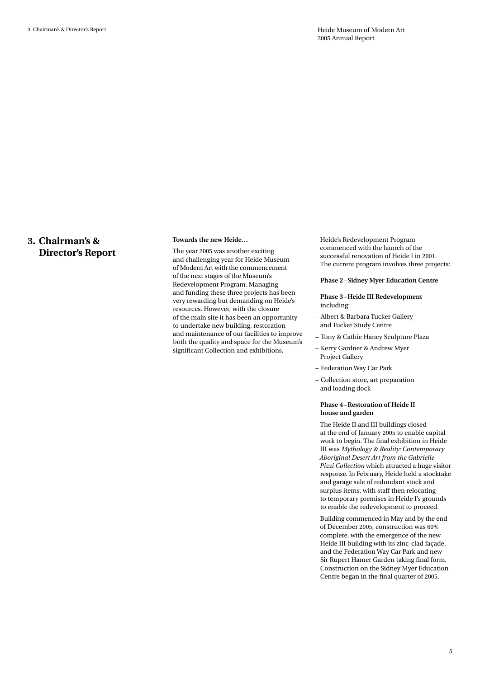## **3. Chairman's & Director's Report**

#### **Towards the new Heide…**

The year 2005 was another exciting and challenging year for Heide Museum of Modern Art with the commencement of the next stages of the Museum's Redevelopment Program. Managing and funding these three projects has been very rewarding but demanding on Heide's resources. However, with the closure of the main site it has been an opportunity to undertake new building, restoration and maintenance of our facilities to improve both the quality and space for the Museum's significant Collection and exhibitions.

Heide's Redevelopment Program commenced with the launch of the successful renovation of Heide I in 2001. The current program involves three projects:

#### **Phase 2–Sidney Myer Education Centre**

#### **Phase 3–Heide III Redevelopment**  including:

- Albert & Barbara Tucker Gallery and Tucker Study Centre
- Tony & Cathie Hancy Sculpture Plaza
- Kerry Gardner & Andrew Myer Project Gallery
- Federation Way Car Park
- Collection store, art preparation and loading dock

#### **Phase 4–Restoration of Heide II house and garden**

The Heide II and III buildings closed at the end of January 2005 to enable capital work to begin. The final exhibition in Heide III was *Mythology & Reality: Contemporary Aboriginal Desert Art from the Gabrielle Pizzi Collection* which attracted a huge visitor response. In February, Heide held a stocktake and garage sale of redundant stock and surplus items, with staff then relocating to temporary premises in Heide I's grounds to enable the redevelopment to proceed.

Building commenced in May and by the end of December 2005, construction was 60% complete, with the emergence of the new Heide III building with its zinc-clad façade, and the Federation Way Car Park and new Sir Rupert Hamer Garden taking final form. Construction on the Sidney Myer Education Centre began in the final quarter of 2005.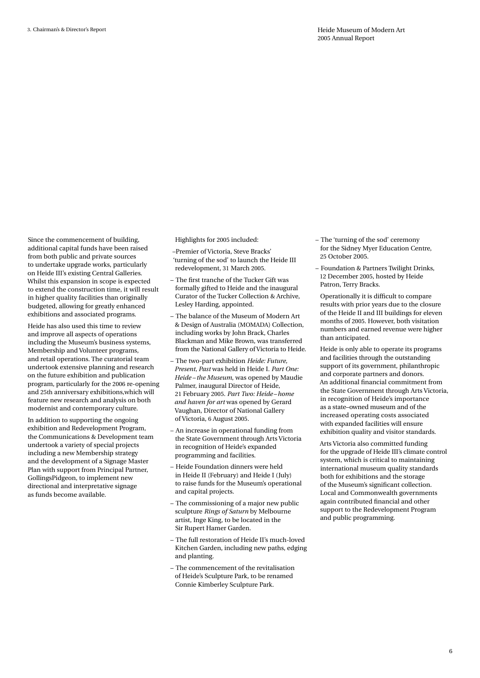Since the commencement of building, additional capital funds have been raised from both public and private sources to undertake upgrade works, particularly on Heide III's existing Central Galleries. Whilst this expansion in scope is expected to extend the construction time, it will result in higher quality facilities than originally budgeted, allowing for greatly enhanced exhibitions and associated programs.

Heide has also used this time to review and improve all aspects of operations including the Museum's business systems, Membership and Volunteer programs, and retail operations. The curatorial team undertook extensive planning and research on the future exhibition and publication program, particularly for the 2006 re-opening and 25th anniversary exhibitions,which will feature new research and analysis on both modernist and contemporary culture.

In addition to supporting the ongoing exhibition and Redevelopment Program, the Communications & Development team undertook a variety of special projects including a new Membership strategy and the development of a Signage Master Plan with support from Principal Partner, GollingsPidgeon, to implement new directional and interpretative signage as funds become available.

Highlights for 2005 included:

- Premier of Victoria, Steve Bracks' 'turning of the sod' to launch the Heide III redevelopment, 31 March 2005.
- The first tranche of the Tucker Gift was formally gifted to Heide and the inaugural Curator of the Tucker Collection & Archive, Lesley Harding, appointed.
- The balance of the Museum of Modern Art & Design of Australia (MOMADA) Collection, including works by John Brack, Charles Blackman and Mike Brown, was transferred from the National Gallery of Victoria to Heide.
- The two-part exhibition *Heide: Future, Present, Past* was held in Heide I. *Part One: Heide – the Museum*, was opened by Maudie Palmer, inaugural Director of Heide, 21 February 2005. *Part Two: Heide – home and haven for art* was opened by Gerard Vaughan, Director of National Gallery of Victoria, 6 August 2005.
- An increase in operational funding from the State Government through Arts Victoria in recognition of Heide's expanded programming and facilities.
- Heide Foundation dinners were held in Heide II (February) and Heide I (July) to raise funds for the Museum's operational and capital projects.
- The commissioning of a major new public sculpture *Rings of Saturn* by Melbourne artist, Inge King, to be located in the Sir Rupert Hamer Garden.
- The full restoration of Heide II's much-loved Kitchen Garden, including new paths, edging and planting.
- The commencement of the revitalisation of Heide's Sculpture Park, to be renamed Connie Kimberley Sculpture Park.
- The 'turning of the sod' ceremony for the Sidney Myer Education Centre, 25 October 2005.
- Foundation & Partners Twilight Drinks, 12 December 2005, hosted by Heide Patron, Terry Bracks.

Operationally it is difficult to compare results with prior years due to the closure of the Heide II and III buildings for eleven months of 2005. However, both visitation numbers and earned revenue were higher than anticipated.

Heide is only able to operate its programs and facilities through the outstanding support of its government, philanthropic and corporate partners and donors. An additional financial commitment from the State Government through Arts Victoria, in recognition of Heide's importance as a state–owned museum and of the increased operating costs associated with expanded facilities will ensure exhibition quality and visitor standards.

Arts Victoria also committed funding for the upgrade of Heide III's climate control system, which is critical to maintaining international museum quality standards both for exhibitions and the storage of the Museum's significant collection. Local and Commonwealth governments again contributed financial and other support to the Redevelopment Program and public programming.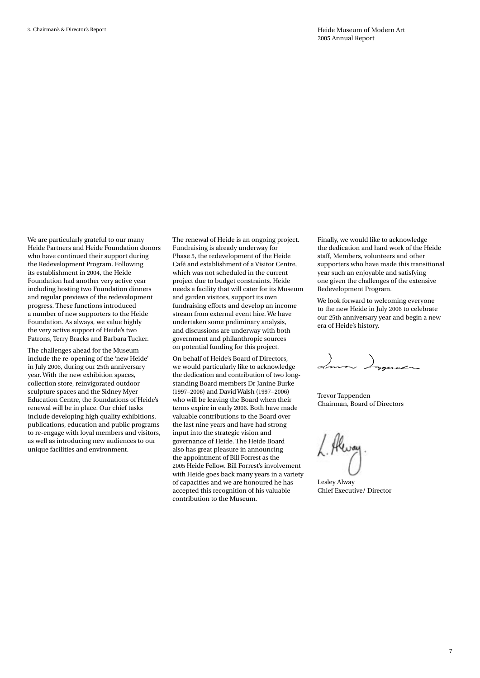We are particularly grateful to our many Heide Partners and Heide Foundation donors who have continued their support during the Redevelopment Program. Following its establishment in 2004, the Heide Foundation had another very active year including hosting two Foundation dinners and regular previews of the redevelopment progress. These functions introduced a number of new supporters to the Heide Foundation. As always, we value highly the very active support of Heide's two Patrons, Terry Bracks and Barbara Tucker.

The challenges ahead for the Museum include the re-opening of the 'new Heide' in July 2006, during our 25th anniversary year. With the new exhibition spaces, collection store, reinvigorated outdoor sculpture spaces and the Sidney Myer Education Centre, the foundations of Heide's renewal will be in place. Our chief tasks include developing high quality exhibitions, publications, education and public programs to re-engage with loyal members and visitors, as well as introducing new audiences to our unique facilities and environment.

The renewal of Heide is an ongoing project. Fundraising is already underway for Phase 5, the redevelopment of the Heide Café and establishment of a Visitor Centre, which was not scheduled in the current project due to budget constraints. Heide needs a facility that will cater for its Museum and garden visitors, support its own fundraising efforts and develop an income stream from external event hire. We have undertaken some preliminary analysis, and discussions are underway with both government and philanthropic sources on potential funding for this project.

On behalf of Heide's Board of Directors, we would particularly like to acknowledge the dedication and contribution of two longstanding Board members Dr Janine Burke (1997–2006) and David Walsh (1997–2006) who will be leaving the Board when their terms expire in early 2006. Both have made valuable contributions to the Board over the last nine years and have had strong input into the strategic vision and governance of Heide. The Heide Board also has great pleasure in announcing the appointment of Bill Forrest as the 2005 Heide Fellow. Bill Forrest's involvement with Heide goes back many years in a variety of capacities and we are honoured he has accepted this recognition of his valuable contribution to the Museum.

Finally, we would like to acknowledge the dedication and hard work of the Heide staff, Members, volunteers and other supporters who have made this transitional year such an enjoyable and satisfying one given the challenges of the extensive Redevelopment Program.

We look forward to welcoming everyone to the new Heide in July 2006 to celebrate our 25th anniversary year and begin a new era of Heide's history.

Imm Install

Trevor Tappenden Chairman, Board of Directors

Lesley Alway Chief Executive/ Director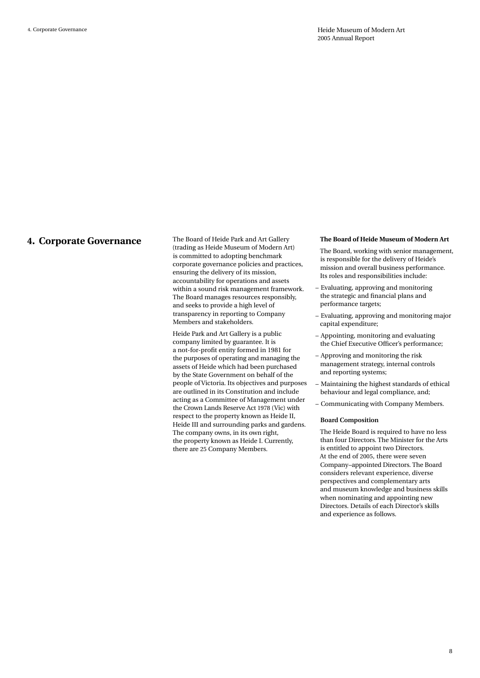**4. Corporate Governance** The Board of Heide Park and Art Gallery (trading as Heide Museum of Modern Art) is committed to adopting benchmark corporate governance policies and practices, ensuring the delivery of its mission, accountability for operations and assets within a sound risk management framework. The Board manages resources responsibly, and seeks to provide a high level of transparency in reporting to Company Members and stakeholders.

> Heide Park and Art Gallery is a public company limited by guarantee. It is a not-for-profit entity formed in 1981 for the purposes of operating and managing the assets of Heide which had been purchased by the State Government on behalf of the people of Victoria. Its objectives and purposes are outlined in its Constitution and include acting as a Committee of Management under the Crown Lands Reserve Act 1978 (Vic) with respect to the property known as Heide II, Heide III and surrounding parks and gardens. The company owns, in its own right, the property known as Heide I. Currently, there are 25 Company Members.

#### **The Board of Heide Museum of Modern Art**

The Board, working with senior management, is responsible for the delivery of Heide's mission and overall business performance. Its roles and responsibilities include:

- Evaluating, approving and monitoring the strategic and financial plans and performance targets;
- Evaluating, approving and monitoring major capital expenditure;
- Appointing, monitoring and evaluating the Chief Executive Officer's performance;
- Approving and monitoring the risk management strategy, internal controls and reporting systems;
- Maintaining the highest standards of ethical behaviour and legal compliance, and;
- Communicating with Company Members.

#### **Board Composition**

The Heide Board is required to have no less than four Directors. The Minister for the Arts is entitled to appoint two Directors. At the end of 2005, there were seven Company–appointed Directors. The Board considers relevant experience, diverse perspectives and complementary arts and museum knowledge and business skills when nominating and appointing new Directors. Details of each Director's skills and experience as follows.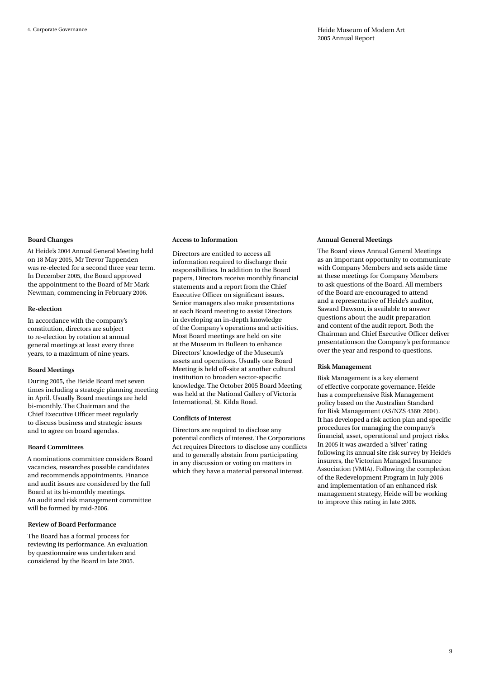#### **Board Changes**

At Heide's 2004 Annual General Meeting held on 18 May 2005, Mr Trevor Tappenden was re-elected for a second three year term. In December 2005, the Board approved the appointment to the Board of Mr Mark Newman, commencing in February 2006.

#### **Re-election**

In accordance with the company's constitution, directors are subject to re-election by rotation at annual general meetings at least every three years, to a maximum of nine years.

#### **Board Meetings**

During 2005, the Heide Board met seven times including a strategic planning meeting in April. Usually Board meetings are held bi-monthly. The Chairman and the Chief Executive Officer meet regularly to discuss business and strategic issues and to agree on board agendas.

#### **Board Committees**

A nominations committee considers Board vacancies, researches possible candidates and recommends appointments. Finance and audit issues are considered by the full Board at its bi-monthly meetings. An audit and risk management committee will be formed by mid-2006.

#### **Review of Board Performance**

The Board has a formal process for reviewing its performance. An evaluation by questionnaire was undertaken and considered by the Board in late 2005.

#### **Access to Information**

Directors are entitled to access all information required to discharge their responsibilities. In addition to the Board papers, Directors receive monthly financial statements and a report from the Chief Executive Officer on significant issues. Senior managers also make presentations at each Board meeting to assist Directors in developing an in-depth knowledge of the Company's operations and activities. Most Board meetings are held on site at the Museum in Bulleen to enhance Directors' knowledge of the Museum's assets and operations. Usually one Board Meeting is held off-site at another cultural institution to broaden sector-specific knowledge. The October 2005 Board Meeting was held at the National Gallery of Victoria International, St. Kilda Road.

#### **Conflicts of Interest**

Directors are required to disclose any potential conflicts of interest. The Corporations Act requires Directors to disclose any conflicts and to generally abstain from participating in any discussion or voting on matters in which they have a material personal interest.

#### **Annual General Meetings**

The Board views Annual General Meetings as an important opportunity to communicate with Company Members and sets aside time at these meetings for Company Members to ask questions of the Board. All members of the Board are encouraged to attend and a representative of Heide's auditor, Saward Dawson, is available to answer questions about the audit preparation and content of the audit report. Both the Chairman and Chief Executive Officer deliver presentationson the Company's performance over the year and respond to questions.

#### **Risk Management**

Risk Management is a key element of effective corporate governance. Heide has a comprehensive Risk Management policy based on the Australian Standard for Risk Management (AS/NZS 4360: 2004). It has developed a risk action plan and specific procedures for managing the company's financial, asset, operational and project risks. In 2005 it was awarded a 'silver' rating following its annual site risk survey by Heide's insurers, the Victorian Managed Insurance Association (VMIA). Following the completion of the Redevelopment Program in July 2006 and implementation of an enhanced risk management strategy, Heide will be working to improve this rating in late 2006.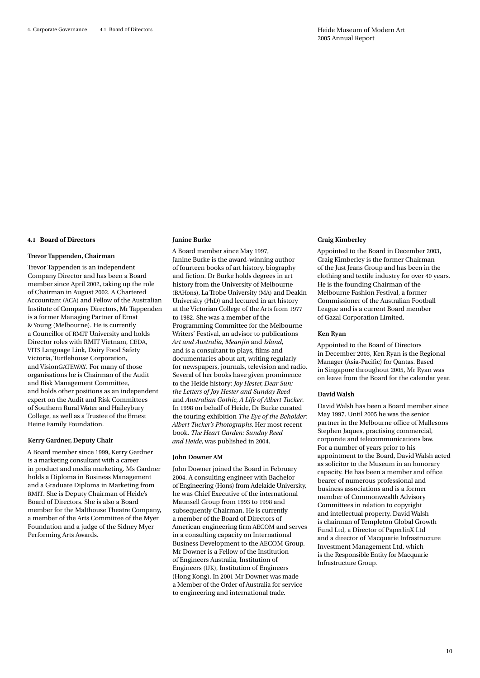#### **4.1 Board of Directors**

#### **Trevor Tappenden, Chairman**

Trevor Tappenden is an independent Company Director and has been a Board member since April 2002, taking up the role of Chairman in August 2002. A Chartered Accountant (ACA) and Fellow of the Australian Institute of Company Directors, Mr Tappenden is a former Managing Partner of Ernst & Young (Melbourne). He is currently a Councillor of RMIT University and holds Director roles with RMIT Vietnam, CEDA, VITS Language Link, Dairy Food Safety Victoria, Turtlehouse Corporation, and VisionGATEWAY. For many of those organisations he is Chairman of the Audit and Risk Management Committee, and holds other positions as an independent expert on the Audit and Risk Committees of Southern Rural Water and Haileybury College, as well as a Trustee of the Ernest Heine Family Foundation.

#### **Kerry Gardner, Deputy Chair**

A Board member since 1999, Kerry Gardner is a marketing consultant with a career in product and media marketing. Ms Gardner holds a Diploma in Business Management and a Graduate Diploma in Marketing from RMIT. She is Deputy Chairman of Heide's Board of Directors. She is also a Board member for the Malthouse Theatre Company, a member of the Arts Committee of the Myer Foundation and a judge of the Sidney Myer Performing Arts Awards.

#### **Janine Burke**

A Board member since May 1997, Janine Burke is the award-winning author of fourteen books of art history, biography and fiction. Dr Burke holds degrees in art history from the University of Melbourne (BAHons), La Trobe University (MA) and Deakin University (PhD) and lectured in art history at the Victorian College of the Arts from 1977 to 1982. She was a member of the Programming Committee for the Melbourne Writers' Festival, an advisor to publications *Art and Australia*, *Meanjin* and *Island*, and is a consultant to plays, films and documentaries about art, writing regularly for newspapers, journals, television and radio. Several of her books have given prominence to the Heide history: *Joy Hester, Dear Sun: the Letters of Joy Hester and Sunday Reed* and *Australian Gothic, A Life of Albert Tucker*. In 1998 on behalf of Heide, Dr Burke curated the touring exhibition *The Eye of the Beholder: Albert Tucker's Photographs*. Her most recent book, *The Heart Garden: Sunday Reed and Heide*, was published in 2004.

#### **John Downer AM**

John Downer joined the Board in February 2004. A consulting engineer with Bachelor of Engineering (Hons) from Adelaide University, he was Chief Executive of the international Maunsell Group from 1993 to 1998 and subsequently Chairman. He is currently a member of the Board of Directors of American engineering firm AECOM and serves in a consulting capacity on International Business Development to the AECOM Group. Mr Downer is a Fellow of the Institution of Engineers Australia, Institution of Engineers (UK), Institution of Engineers (Hong Kong). In 2001 Mr Downer was made a Member of the Order of Australia for service to engineering and international trade.

#### **Craig Kimberley**

Appointed to the Board in December 2003, Craig Kimberley is the former Chairman of the Just Jeans Group and has been in the clothing and textile industry for over 40 years. He is the founding Chairman of the Melbourne Fashion Festival, a former Commissioner of the Australian Football League and is a current Board member of Gazal Corporation Limited.

#### **Ken Ryan**

Appointed to the Board of Directors in December 2003, Ken Ryan is the Regional Manager (Asia-Pacific) for Qantas. Based in Singapore throughout 2005, Mr Ryan was on leave from the Board for the calendar year.

#### **David Walsh**

David Walsh has been a Board member since May 1997. Until 2005 he was the senior partner in the Melbourne office of Mallesons Stephen Jaques, practising commercial, corporate and telecommunications law. For a number of years prior to his appointment to the Board, David Walsh acted as solicitor to the Museum in an honorary capacity. He has been a member and office bearer of numerous professional and business associations and is a former member of Commonwealth Advisory Committees in relation to copyright and intellectual property. David Walsh is chairman of Templeton Global Growth Fund Ltd, a Director of PaperlinX Ltd and a director of Macquarie Infrastructure Investment Management Ltd, which is the Responsible Entity for Macquarie Infrastructure Group.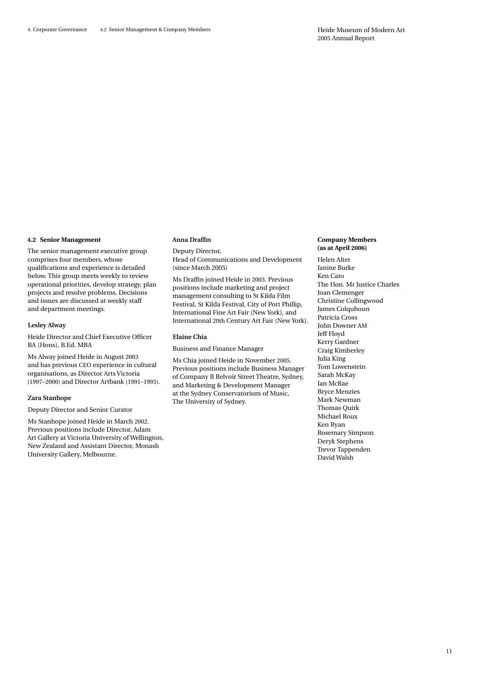#### **4.2 Senior Management**

The senior management executive group comprises four members, whose qualifications and experience is detailed below. This group meets weekly to review operational priorities, develop strategy, plan projects and resolve problems. Decisions and issues are discussed at weekly staff and department meetings.

#### **Lesley Alway**

Heide Director and Chief Executive Officer BA (Hons), B.Ed. MBA

Ms Alway joined Heide in August 2003 and has previous CEO experience in cultural organisations, as Director Arts Victoria (1997–2000) and Director Artbank (1991–1995).

#### **Zara Stanhope**

Deputy Director and Senior Curator

Ms Stanhope joined Heide in March 2002. Previous positions include Director, Adam Art Gallery at Victoria University of Wellington, New Zealand and Assistant Director, Monash University Gallery, Melbourne.

#### **Anna Draffin**

Deputy Director, Head of Communications and Development (since March 2005)

Ms Draffin joined Heide in 2003. Previous positions include marketing and project management consulting to St Kilda Film Festival, St Kilda Festival, City of Port Phillip, International Fine Art Fair (New York), and International 20th Century Art Fair (New York).

#### **Elaine Chia**

Business and Finance Manager

Ms Chia joined Heide in November 2005. Previous positions include Business Manager of Company B Belvoir Street Theatre, Sydney, and Marketing & Development Manager at the Sydney Conservatorium of Music, The University of Sydney.

#### **Company Members (as at April 2006)**

Helen Alter Janine Burke Ken Cato The Hon. Mr Justice Charles Joan Clemenger Christine Collingwood James Colquhoun Patricia Cross John Downer AM Jeff Floyd Kerry Gardner Craig Kimberley Julia King Tom Lowenstein Sarah McKay Ian McRae Bryce Menzies Mark Newman Thomas Quirk Michael Roux Ken Ryan Rosemary Simpson Deryk Stephens Trevor Tappenden David Walsh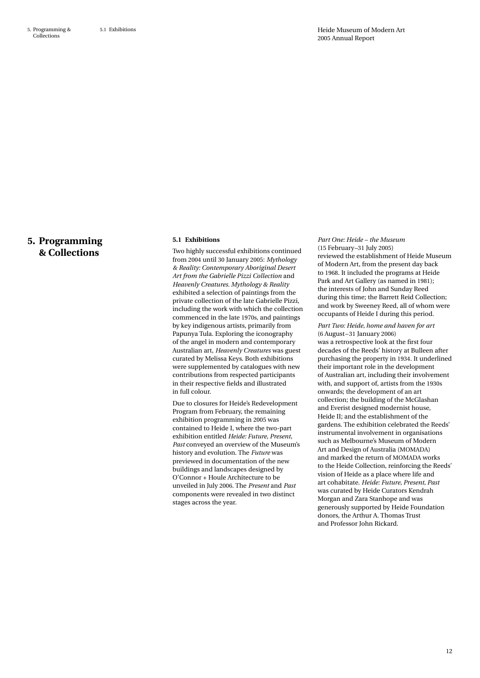### **5. Programming & Collections**

#### **5.1 Exhibitions**

Two highly successful exhibitions continued from 2004 until 30 January 2005: *Mythology & Reality: Contemporary Aboriginal Desert Art from the Gabrielle Pizzi Collection* and *Heavenly Creatures. Mythology & Reality* exhibited a selection of paintings from the private collection of the late Gabrielle Pizzi, including the work with which the collection commenced in the late 1970s, and paintings by key indigenous artists, primarily from Papunya Tula. Exploring the iconography of the angel in modern and contemporary Australian art, *Heavenly Creatures* was guest curated by Melissa Keys. Both exhibitions were supplemented by catalogues with new contributions from respected participants in their respective fields and illustrated in full colour.

Due to closures for Heide's Redevelopment Program from February, the remaining exhibition programming in 2005 was contained to Heide I, where the two-part exhibition entitled *Heide: Future, Present, Past* conveyed an overview of the Museum's history and evolution. The *Future* was previewed in documentation of the new buildings and landscapes designed by O'Connor + Houle Architecture to be unveiled in July 2006. The *Present* and *Past* components were revealed in two distinct stages across the year.

*Part One: Heide – the Museum*  (15 February–31 July 2005) reviewed the establishment of Heide Museum of Modern Art, from the present day back to 1968. It included the programs at Heide Park and Art Gallery (as named in 1981); the interests of John and Sunday Reed during this time; the Barrett Reid Collection; and work by Sweeney Reed, all of whom were occupants of Heide I during this period.

#### *Part Two: Heide, home and haven for art* (6 August–31 January 2006)

was a retrospective look at the first four decades of the Reeds' history at Bulleen after purchasing the property in 1934. It underlined their important role in the development of Australian art, including their involvement with, and support of, artists from the 1930s onwards; the development of an art collection; the building of the McGlashan and Everist designed modernist house, Heide II; and the establishment of the gardens. The exhibition celebrated the Reeds' instrumental involvement in organisations such as Melbourne's Museum of Modern Art and Design of Australia (MOMADA) and marked the return of MOMADA works to the Heide Collection, reinforcing the Reeds' vision of Heide as a place where life and art cohabitate. *Heide: Future, Present, Past* was curated by Heide Curators Kendrah Morgan and Zara Stanhope and was generously supported by Heide Foundation donors, the Arthur A. Thomas Trust and Professor John Rickard.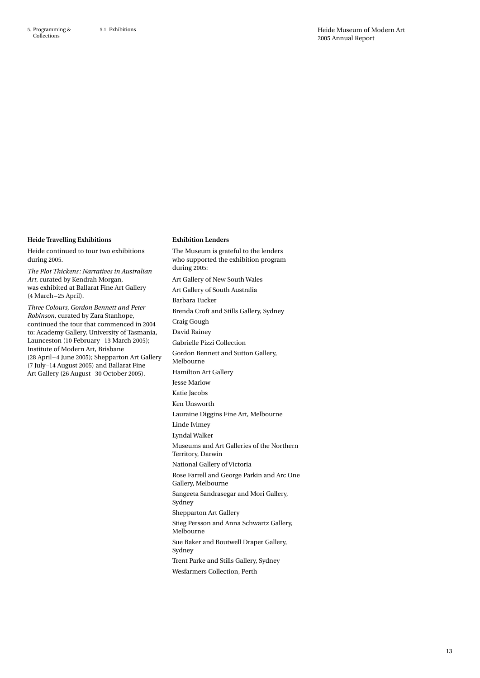5. Programming & Collections

#### **Heide Travelling Exhibitions**

Heide continued to tour two exhibitions during 2005.

*The Plot Thickens: Narratives in Australian Art*, curated by Kendrah Morgan, was exhibited at Ballarat Fine Art Gallery (4 March –25 April).

*Three Colours, Gordon Bennett and Peter Robinson*, curated by Zara Stanhope, continued the tour that commenced in 2004 to: Academy Gallery, University of Tasmania, Launceston (10 February–13 March 2005); Institute of Modern Art, Brisbane (28 April–4 June 2005); Shepparton Art Gallery (7 July–14 August 2005) and Ballarat Fine Art Gallery (26 August–30 October 2005).

#### **Exhibition Lenders**

The Museum is grateful to the lenders who supported the exhibition program during 2005: Art Gallery of New South Wales Art Gallery of South Australia Barbara Tucker Brenda Croft and Stills Gallery, Sydney Craig Gough David Rainey Gabrielle Pizzi Collection Gordon Bennett and Sutton Gallery, Melbourne Hamilton Art Gallery Jesse Marlow Katie Jacobs Ken Unsworth Lauraine Diggins Fine Art, Melbourne Linde Ivimey Lyndal Walker Museums and Art Galleries of the Northern Territory, Darwin National Gallery of Victoria Rose Farrell and George Parkin and Arc One Gallery, Melbourne Sangeeta Sandrasegar and Mori Gallery, Sydney Shepparton Art Gallery Stieg Persson and Anna Schwartz Gallery, Melbourne Sue Baker and Boutwell Draper Gallery, Sydney Trent Parke and Stills Gallery, Sydney Wesfarmers Collection, Perth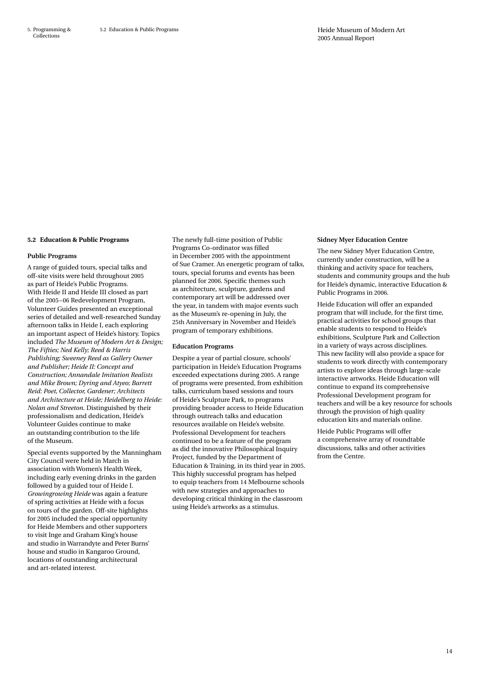#### **5.2 Education & Public Programs**

#### **Public Programs**

A range of guided tours, special talks and off-site visits were held throughout 2005 as part of Heide's Public Programs. With Heide II and Heide III closed as part of the 2005–06 Redevelopment Program, Volunteer Guides presented an exceptional series of detailed and well-researched Sunday afternoon talks in Heide I, each exploring an important aspect of Heide's history. Topics included *The Museum of Modern Art & Design; The Fifties; Ned Kelly; Reed & Harris Publishing; Sweeney Reed as Gallery Owner and Publisher; Heide II: Concept and Construction; Annandale Imitation Realists and Mike Brown; Dyring and Atyeo; Barrett Reid: Poet, Collector, Gardener; Architects and Architecture at Heide; Heidelberg to Heide: Nolan and Streeton*. Distinguished by their professionalism and dedication, Heide's Volunteer Guides continue to make an outstanding contribution to the life of the Museum.

Special events supported by the Manningham City Council were held in March in association with Women's Health Week, including early evening drinks in the garden followed by a guided tour of Heide I. *Growingrowing Heide* was again a feature of spring activities at Heide with a focus on tours of the garden. Off-site highlights for 2005 included the special opportunity for Heide Members and other supporters to visit Inge and Graham King's house and studio in Warrandyte and Peter Burns' house and studio in Kangaroo Ground, locations of outstanding architectural and art-related interest.

The newly full-time position of Public Programs Co-ordinator was filled in December 2005 with the appointment of Sue Cramer. An energetic program of talks, tours, special forums and events has been planned for 2006. Specific themes such as architecture, sculpture, gardens and contemporary art will be addressed over the year, in tandem with major events such as the Museum's re-opening in July, the 25th Anniversary in November and Heide's program of temporary exhibitions.

#### **Education Programs**

Despite a year of partial closure, schools' participation in Heide's Education Programs exceeded expectations during 2005. A range of programs were presented, from exhibition talks, curriculum based sessions and tours of Heide's Sculpture Park, to programs providing broader access to Heide Education through outreach talks and education resources available on Heide's website. Professional Development for teachers continued to be a feature of the program as did the innovative Philosophical Inquiry Project, funded by the Department of Education & Training, in its third year in 2005. This highly successful program has helped to equip teachers from 14 Melbourne schools with new strategies and approaches to developing critical thinking in the classroom using Heide's artworks as a stimulus.

#### **Sidney Myer Education Centre**

The new Sidney Myer Education Centre, currently under construction, will be a thinking and activity space for teachers, students and community groups and the hub for Heide's dynamic, interactive Education & Public Programs in 2006.

Heide Education will offer an expanded program that will include, for the first time, practical activities for school groups that enable students to respond to Heide's exhibitions, Sculpture Park and Collection in a variety of ways across disciplines. This new facility will also provide a space for students to work directly with contemporary artists to explore ideas through large-scale interactive artworks. Heide Education will continue to expand its comprehensive Professional Development program for teachers and will be a key resource for schools through the provision of high quality education kits and materials online.

Heide Public Programs will offer a comprehensive array of roundtable discussions, talks and other activities from the Centre.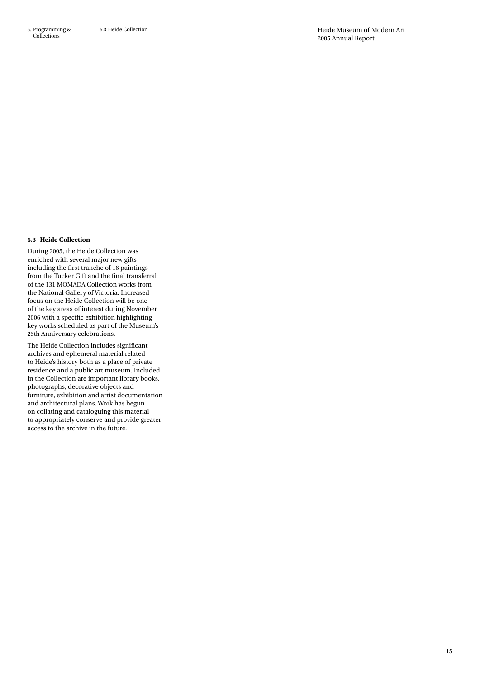#### **5.3 Heide Collection**

During 2005, the Heide Collection was enriched with several major new gifts including the first tranche of 16 paintings from the Tucker Gift and the final transferral of the 131 MOMADA Collection works from the National Gallery of Victoria. Increased focus on the Heide Collection will be one of the key areas of interest during November 2006 with a specific exhibition highlighting key works scheduled as part of the Museum's 25th Anniversary celebrations.

The Heide Collection includes significant archives and ephemeral material related to Heide's history both as a place of private residence and a public art museum. Included in the Collection are important library books, photographs, decorative objects and furniture, exhibition and artist documentation and architectural plans. Work has begun on collating and cataloguing this material to appropriately conserve and provide greater access to the archive in the future.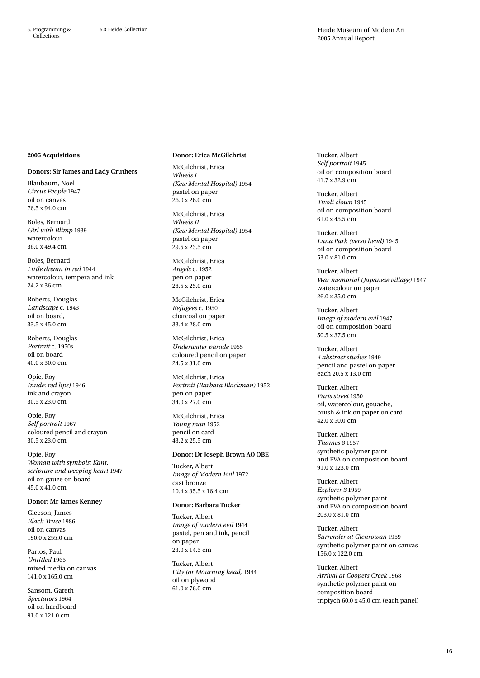#### **2005 Acquisitions**

#### **Donors: Sir James and Lady Cruthers**

Blaubaum, Noel *Circus People* 1947 oil on canvas 76.5 x 94.0 cm

Boles, Bernard *Girl with Blimp* 1939 watercolour 36.0 x 49.4 cm

Boles, Bernard *Little dream in red* 1944 watercolour, tempera and ink 24.2 x 36 cm

Roberts, Douglas *Landscape* c. 1943 oil on board, 33.5 x 45.0 cm

Roberts, Douglas *Portrait* c. 1950s oil on board 40.0 x 30.0 cm

Opie, Roy *(nude: red lips)* 1946 ink and crayon 30.5 x 23.0 cm

Opie, Roy *Self portrait* 1967 coloured pencil and crayon 30.5 x 23.0 cm

Opie, Roy *Woman with symbols: Kant, scripture and weeping heart* 1947 oil on gauze on board 45.0 x 41.0 cm

#### **Donor: Mr James Kenney**

Gleeson, James *Black Truce* 1986 oil on canvas 190.0 x 255.0 cm

Partos, Paul *Untitled* 1965 mixed media on canvas 141.0 x 165.0 cm

Sansom, Gareth *Spectators* 1964 oil on hardboard 91.0 x 121.0 cm

### **Donor: Erica McGilchrist**

McGilchrist, Erica *Wheels I (Kew Mental Hospital)* 1954 pastel on paper  $26.0 \times 26.0$  cm

McGilchrist, Erica *Wheels II (Kew Mental Hospital)* 1954 pastel on paper 29.5 x 23.5 cm

McGilchrist, Erica *Angels* c. 1952 pen on paper 28.5 x 25.0 cm

McGilchrist, Erica *Refugees* c. 1950 charcoal on paper 33.4 x 28.0 cm

McGilchrist, Erica *Underwater parade* 1955 coloured pencil on paper 24.5 x 31.0 cm

McGilchrist, Erica *Portrait (Barbara Blackman)* 1952 pen on paper 34.0 x 27.0 cm

McGilchrist, Erica *Young man* 1952 pencil on card 43.2 x 25.5 cm

# **Donor: Dr Joseph Brown AO OBE**

Tucker, Albert *Image of Modern Evil* 1972 cast bronze 10.4 x 35.5 x 16.4 cm

#### **Donor: Barbara Tucker**

Tucker, Albert *Image of modern evil* 1944 pastel, pen and ink, pencil on paper 23.0 x 14.5 cm

Tucker, Albert *City (or Mourning head)* 1944 oil on plywood 61.0 x 76.0 cm

Tucker, Albert *Self portrait* 1945 oil on composition board 41.7 x 32.9 cm

Tucker, Albert *Tivoli clown* 1945 oil on composition board 61.0 x 45.5 cm

Tucker, Albert *Luna Park (verso head)* 1945 oil on composition board 53.0 x 81.0 cm

Tucker, Albert *War memorial (Japanese village)* 1947 watercolour on paper 26.0 x 35.0 cm

Tucker, Albert *Image of modern evil* 1947 oil on composition board 50.5 x 37.5 cm

Tucker, Albert *4 abstract studies* 1949 pencil and pastel on paper each 20.5 x 13.0 cm

Tucker, Albert *Paris street* 1950 oil, watercolour, gouache, brush & ink on paper on card 42.0 x 50.0 cm

Tucker, Albert *Thames 8* 1957 synthetic polymer paint and PVA on composition board 91.0 x 123.0 cm

Tucker, Albert *Explorer 3* 1959 synthetic polymer paint and PVA on composition board 203.0 x 81.0 cm

Tucker, Albert *Surrender at Glenrowan* 1959 synthetic polymer paint on canvas 156.0 x 122.0 cm

Tucker, Albert *Arrival at Coopers Creek* 1968 synthetic polymer paint on composition board triptych 60.0 x 45.0 cm (each panel)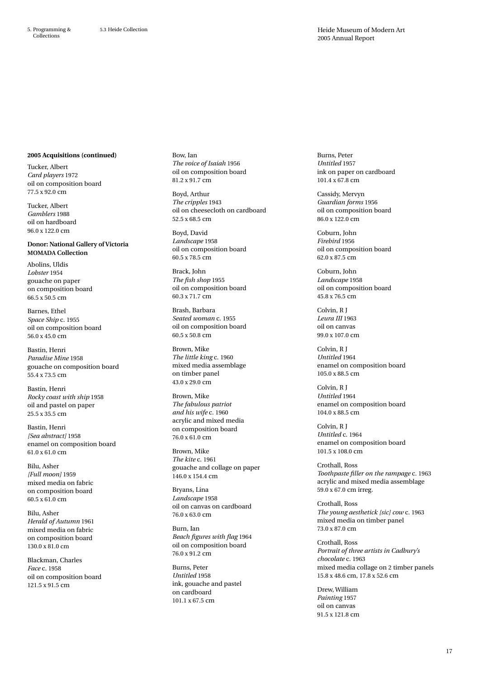#### **2005 Acquisitions (continued)**

Tucker, Albert *Card players* 1972 oil on composition board 77.5 x 92.0 cm

Tucker, Albert *Gamblers* 1988 oil on hardboard 96.0 x 122.0 cm

**Donor: National Gallery of Victoria MOMADA Collection**

Abolins, Uldis *Lobster* 1954 gouache on paper on composition board 66.5 x 50.5 cm

Barnes, Ethel *Space Ship* c. 1955 oil on composition board 56.0 x 45.0 cm

Bastin, Henri *Paradise Mine* 1958 gouache on composition board 55.4 x 73.5 cm

Bastin, Henri *Rocky coast with ship* 1958 oil and pastel on paper 25.5 x 35.5 cm

Bastin, Henri *[Sea abstract]* 1958 enamel on composition board 61.0 x 61.0 cm

Bilu, Asher *[Full moon]* 1959 mixed media on fabric on composition board 60.5 x 61.0 cm

Bilu, Asher *Herald of Autumn* 1961 mixed media on fabric on composition board 130.0 x 81.0 cm

Blackman, Charles *Face* c. 1958 oil on composition board 121.5 x 91.5 cm

Bow, Ian *The voice of Isaiah* 1956 oil on composition board 81.2 x 91.7 cm

Boyd, Arthur *The cripples* 1943 oil on cheesecloth on cardboard 52.5 x 68.5 cm

Boyd, David *Landscape* 1958 oil on composition board 60.5 x 78.5 cm

Brack, John *The fish shop* 1955 oil on composition board 60.3 x 71.7 cm

Brash, Barbara *Seated woman* c. 1955 oil on composition board 60.5 x 50.8 cm

Brown, Mike *The little king* c. 1960 mixed media assemblage on timber panel 43.0 x 29.0 cm

Brown, Mike *The fabulous patriot and his wife* c. 1960 acrylic and mixed media on composition board 76.0 x 61.0 cm

Brown, Mike *The kite* c. 1961 gouache and collage on paper 146.0 x 154.4 cm

Bryans, Lina *Landscape* 1958 oil on canvas on cardboard 76.0 x 63.0 cm

Burn, Ian *Beach figures with flag* 1964 oil on composition board 76.0 x 91.2 cm

Burns, Peter *Untitled* 1958 ink, gouache and pastel on cardboard 101.1 x 67.5 cm

Burns, Peter *Untitled* 1957 ink on paper on cardboard 101.4 x 67.8 cm

Cassidy, Mervyn *Guardian forms* 1956 oil on composition board 86.0 x 122.0 cm

Coburn, John *Firebird* 1956 oil on composition board 62.0 x 87.5 cm

Coburn, John *Landscape* 1958 oil on composition board 45.8 x 76.5 cm

Colvin, R J *Leura III* 1963 oil on canvas 99.0 x 107.0 cm

Colvin, R J *Untitled* 1964 enamel on composition board 105.0 x 88.5 cm

Colvin, R J *Untitled* 1964 enamel on composition board 104.0 x 88.5 cm

Colvin, R J *Untitled* c. 1964 enamel on composition board 101.5 x 108.0 cm

Crothall, Ross *Toothpaste filler on the rampage* c. 1963 acrylic and mixed media assemblage 59.0 x 67.0 cm irreg.

Crothall, Ross *The young aesthetick [sic] cow* c. 1963 mixed media on timber panel 73.0 x 87.0 cm

Crothall, Ross *Portrait of three artists in Cadbury's chocolate* c. 1963 mixed media collage on 2 timber panels 15.8 x 48.6 cm, 17.8 x 52.6 cm

Drew, William *Painting* 1957 oil on canvas 91.5 x 121.8 cm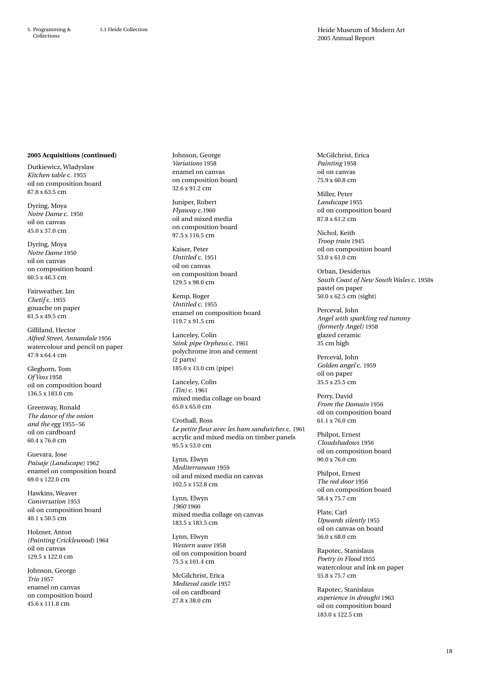#### **2005 Acquisitions (continued)**

Dutkiewicz, Wladyslaw *Kitchen table* c. 1955 oil on composition board 87.8 x 63.5 cm

Dyring, Moya *Notre Dame* c. 1950 oil on canvas 45.0 x 37.0 cm

Dyring, Moya *Notre Dame* 1950 oil on canvas on composition board 60.5 x 46.3 cm

Fairweather, Ian *Chetif* c. 1955 gouache on paper 61.5 x 49.5 cm

Gilliland, Hector *Alfred Street, Annandale* 1956 watercolour and pencil on paper 47.9 x 64.4 cm

Gleghorn, Tom *Of Voss* 1958 oil on composition board 136.5 x 183.0 cm

Greenway, Ronald *The dance of the onion and the egg* 1955–56 oil on cardboard 60.4 x 76.0 cm

Guevara, Jose *Paisaje (Landscape)* 1962 enamel on composition board 69.0 x 122.0 cm

Hawkins, Weaver *Conversation* 1953 oil on composition board 40.1 x 50.5 cm

Holzner, Anton *(Painting Cricklewood)* 1964 oil on canvas 129.5 x 122.0 cm

Johnson, George *Trio* 1957 enamel on canvas on composition board 45.6 x 111.8 cm

Johnson, George *Variations* 1958 enamel on canvas on composition board 32.6 x 91.2 cm

Juniper, Robert *Flyaway* c.1960 oil and mixed media on composition board 97.5 x 116.5 cm

Kaiser, Peter *Untitled* c. 1951 oil on canvas on composition board 129.5 x 98.0 cm

Kemp, Roger *Untitled* c. 1955 enamel on composition board 119.7 x 91.5 cm

Lanceley, Colin *Stink pipe Orpheus* c. 1961 polychrome iron and cement (2 parts) 185.0 x 13.0 cm (pipe)

Lanceley, Colin *(Tin)* c. 1961 mixed media collage on board 65.0 x 65.0 cm

Crothall, Ross *Le petite fleur avec les ham sandwiches* c. 1961 acrylic and mixed media on timber panels 95.5 x 53.0 cm

Lynn, Elwyn *Mediterranean* 1959 oil and mixed media on canvas 102.5 x 152.8 cm

Lynn, Elwyn *1960* 1960 mixed media collage on canvas 183.5 x 183.5 cm

Lynn, Elwyn *Western wave* 1958 oil on composition board 75.5 x 101.4 cm

McGilchrist, Erica *Medieval castle* 1957 oil on cardboard 27.8 x 38.0 cm

McGilchrist, Erica *Painting* 1958 oil on canvas 75.9 x 60.8 cm

Miller, Peter *Landscape* 1955 oil on composition board 87.8 x 61.2 cm

Nichol, Keith *Troop train* 1945 oil on composition board 53.0 x 61.0 cm

Orban, Desiderius *South Coast of New South Wales* c. 1950s pastel on paper 50.0 x 62.5 cm (sight)

Perceval, John *Angel with sparkling red tummy (formerly Angel)* 1958 glazed ceramic 35 cm high

Perceval, John *Golden angel* c. 1959 oil on paper 35.5 x 25.5 cm

Perry, David *From the Domain* 1956 oil on composition board 61.1 x 76.0 cm

Philpot, Ernest *Cloudshadows* 1956 oil on composition board 90.0 x 76.0 cm

Philpot, Ernest *The red door* 1956 oil on composition board 58.4 x 75.7 cm

Plate, Carl *Upwards silently* 1955 oil on canvas on board 56.0 x 68.0 cm

Rapotec, Stanislaus *Poetry in Flood* 1955 watercolour and ink on paper 55.8 x 75.7 cm

Rapotec, Stanislaus *experience in drought* 1963 oil on composition board 183.0 x 122.5 cm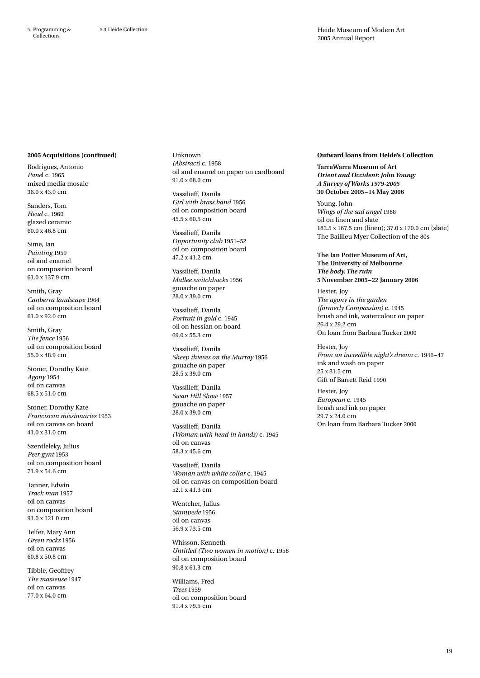#### **2005 Acquisitions (continued)**

Rodrigues, Antonio *Pane*l c. 1965 mixed media mosaic 36.0 x 43.0 cm

Sanders, Tom *Head* c. 1960 glazed ceramic 60.0 x 46.8 cm

Sime, Ian *Painting* 1959 oil and enamel on composition board 61.0 x 137.9 cm

Smith, Gray *Canberra landscape* 1964 oil on composition board 61.0 x 92.0 cm

Smith, Gray *The fence* 1956 oil on composition board 55.0 x 48.9 cm

Stoner, Dorothy Kate *Agony* 1954 oil on canvas 68.5 x 51.0 cm

Stoner, Dorothy Kate *Franciscan missionaries* 1953 oil on canvas on board 41.0 x 31.0 cm

Szentleleky, Julius *Peer gynt* 1953 oil on composition board 71.9 x 54.6 cm

Tanner, Edwin *Track man* 1957 oil on canvas on composition board 91.0 x 121.0 cm

Telfer, Mary Ann *Green rocks* 1956 oil on canvas 60.8 x 50.8 cm

Tibble, Geoffrey *The masseuse* 1947 oil on canvas 77.0 x 64.0 cm

Unknown *(Abstract)* c. 1958 oil and enamel on paper on cardboard 91.0 x 68.0 cm

Vassilieff, Danila *Girl with brass band* 1956 oil on composition board 45.5 x 60.5 cm

Vassilieff, Danila *Opportunity club* 1951–52 oil on composition board 47.2 x 41.2 cm

Vassilieff, Danila *Mallee switchbacks* 1956 gouache on paper 28.0 x 39.0 cm

Vassilieff, Danila *Portrait in gold* c. 1945 oil on hessian on board 69.0 x 55.3 cm

Vassilieff, Danila *Sheep thieves on the Murray* 1956 gouache on paper  $28.5 \times 39.0 \text{ cm}$ 

Vassilieff, Danila *Swan Hill Show* 1957 gouache on paper 28.0 x 39.0 cm

Vassilieff, Danila *(Woman with head in hands)* c. 1945 oil on canvas 58.3 x 45.6 cm

Vassilieff, Danila *Woman with white collar* c. 1945 oil on canvas on composition board 52.1 x 41.3 cm

Wentcher, Julius *Stampede* 1956 oil on canvas 56.9 x 73.5 cm

Whisson, Kenneth *Untitled (Two women in motion)* c. 1958 oil on composition board 90.8 x 61.3 cm

Williams, Fred *Trees* 1959 oil on composition board 91.4 x 79.5 cm

### **Outward loans from Heide's Collection**

**TarraWarra Museum of Art** *Orient and Occident: John Young: A Survey of Works 1979-2005* **30 October 2005–14 May 2006**

Young, John *Wings of the sad angel* 1988 oil on linen and slate 182.5 x 167.5 cm (linen); 37.0 x 170.0 cm (slate) The Baillieu Myer Collection of the 80s

**The Ian Potter Museum of Art, The University of Melbourne** *The body. The ruin* **5 November 2005–22 January 2006**

Hester, Joy *The agony in the garden (formerly Compassion)* c. 1945 brush and ink, watercolour on paper 26.4 x 29.2 cm On loan from Barbara Tucker 2000

Hester, Joy *From an incredible night's dream* c. 1946–47 ink and wash on paper 25 x 31.5 cm Gift of Barrett Reid 1990

Hester, Joy *European* c. 1945 brush and ink on paper 29.7 x 24.0 cm On loan from Barbara Tucker 2000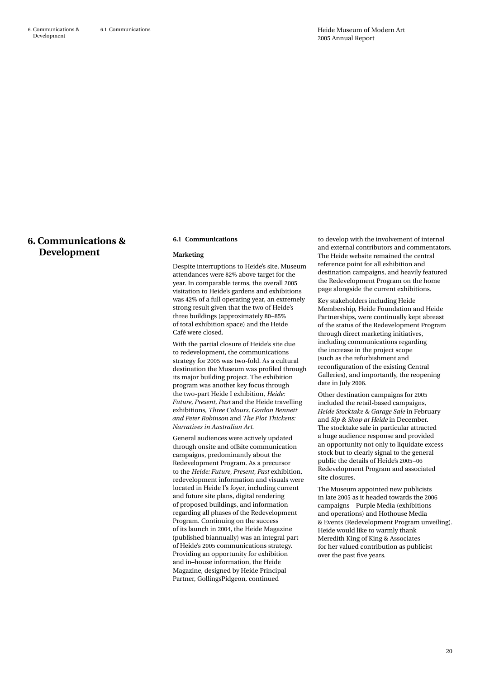# **6. Communications & Development**

#### **6.1 Communications**

#### **Marketing**

Despite interruptions to Heide's site, Museum attendances were 82% above target for the year. In comparable terms, the overall 2005 visitation to Heide's gardens and exhibitions was 42% of a full operating year, an extremely strong result given that the two of Heide's three buildings (approximately 80–85% of total exhibition space) and the Heide Café were closed.

With the partial closure of Heide's site due to redevelopment, the communications strategy for 2005 was two-fold. As a cultural destination the Museum was profiled through its major building project. The exhibition program was another key focus through the two-part Heide I exhibition, *Heide: Future, Present, Past* and the Heide travelling exhibitions, *Three Colours, Gordon Bennett and Peter Robinson* and *The Plot Thickens: Narratives in Australian Art*.

General audiences were actively updated through onsite and offsite communication campaigns, predominantly about the Redevelopment Program. As a precursor to the *Heide: Future, Present, Past* exhibition, redevelopment information and visuals were located in Heide I's foyer, including current and future site plans, digital rendering of proposed buildings, and information regarding all phases of the Redevelopment Program. Continuing on the success of its launch in 2004, the Heide Magazine (published biannually) was an integral part of Heide's 2005 communications strategy. Providing an opportunity for exhibition and in–house information, the Heide Magazine, designed by Heide Principal Partner, GollingsPidgeon, continued

to develop with the involvement of internal and external contributors and commentators. The Heide website remained the central reference point for all exhibition and destination campaigns, and heavily featured the Redevelopment Program on the home page alongside the current exhibitions.

Key stakeholders including Heide Membership, Heide Foundation and Heide Partnerships, were continually kept abreast of the status of the Redevelopment Program through direct marketing initiatives, including communications regarding the increase in the project scope (such as the refurbishment and reconfiguration of the existing Central Galleries), and importantly, the reopening date in July 2006.

Other destination campaigns for 2005 included the retail-based campaigns, *Heide Stocktake & Garage Sale* in February and *Sip & Shop at Heide* in December. The stocktake sale in particular attracted a huge audience response and provided an opportunity not only to liquidate excess stock but to clearly signal to the general public the details of Heide's 2005–06 Redevelopment Program and associated site closures.

The Museum appointed new publicists in late 2005 as it headed towards the 2006 campaigns – Purple Media (exhibitions and operations) and Hothouse Media & Events (Redevelopment Program unveiling). Heide would like to warmly thank Meredith King of King & Associates for her valued contribution as publicist over the past five years.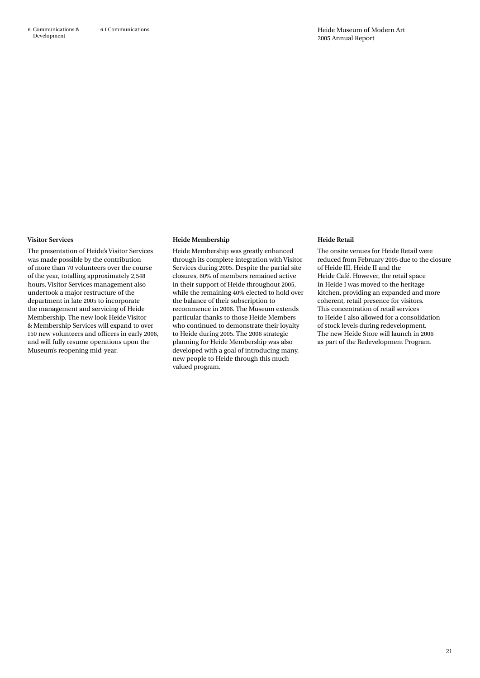#### **Visitor Services**

The presentation of Heide's Visitor Services was made possible by the contribution of more than 70 volunteers over the course of the year, totalling approximately 2,548 hours. Visitor Services management also undertook a major restructure of the department in late 2005 to incorporate the management and servicing of Heide Membership. The new look Heide Visitor & Membership Services will expand to over 150 new volunteers and officers in early 2006, and will fully resume operations upon the Museum's reopening mid-year.

#### **Heide Membership**

Heide Membership was greatly enhanced through its complete integration with Visitor Services during 2005. Despite the partial site closures, 60% of members remained active in their support of Heide throughout 2005, while the remaining 40% elected to hold over the balance of their subscription to recommence in 2006. The Museum extends particular thanks to those Heide Members who continued to demonstrate their loyalty to Heide during 2005. The 2006 strategic planning for Heide Membership was also developed with a goal of introducing many, new people to Heide through this much valued program.

#### **Heide Retail**

The onsite venues for Heide Retail were reduced from February 2005 due to the closure of Heide III, Heide II and the Heide Café. However, the retail space in Heide I was moved to the heritage kitchen, providing an expanded and more coherent, retail presence for visitors. This concentration of retail services to Heide I also allowed for a consolidation of stock levels during redevelopment. The new Heide Store will launch in 2006 as part of the Redevelopment Program.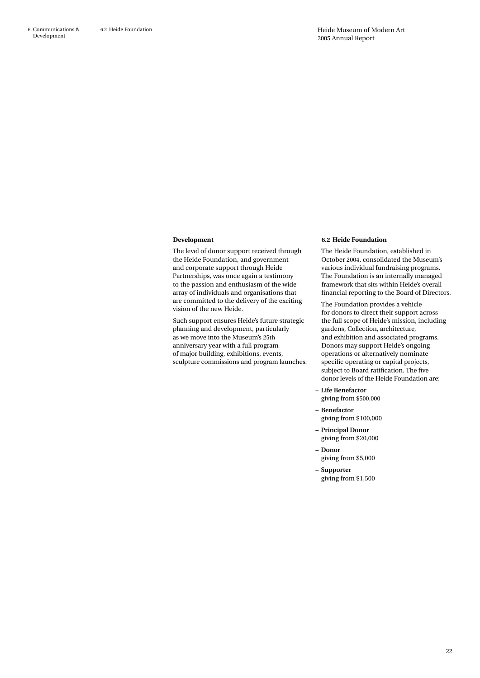#### **Development**

The level of donor support received through the Heide Foundation, and government and corporate support through Heide Partnerships, was once again a testimony to the passion and enthusiasm of the wide array of individuals and organisations that are committed to the delivery of the exciting vision of the new Heide.

Such support ensures Heide's future strategic planning and development, particularly as we move into the Museum's 25th anniversary year with a full program of major building, exhibitions, events, sculpture commissions and program launches.

#### **6.2 Heide Foundation**

The Heide Foundation, established in October 2004, consolidated the Museum's various individual fundraising programs. The Foundation is an internally managed framework that sits within Heide's overall financial reporting to the Board of Directors.

The Foundation provides a vehicle for donors to direct their support across the full scope of Heide's mission, including gardens, Collection, architecture, and exhibition and associated programs. Donors may support Heide's ongoing operations or alternatively nominate specific operating or capital projects, subject to Board ratification. The five donor levels of the Heide Foundation are:

– **Life Benefactor**

giving from \$500,000

- – **Benefactor** giving from \$100,000
- – **Principal Donor** giving from \$20,000
- – **Donor**
	- giving from \$5,000
- – **Supporter**
	- giving from \$1,500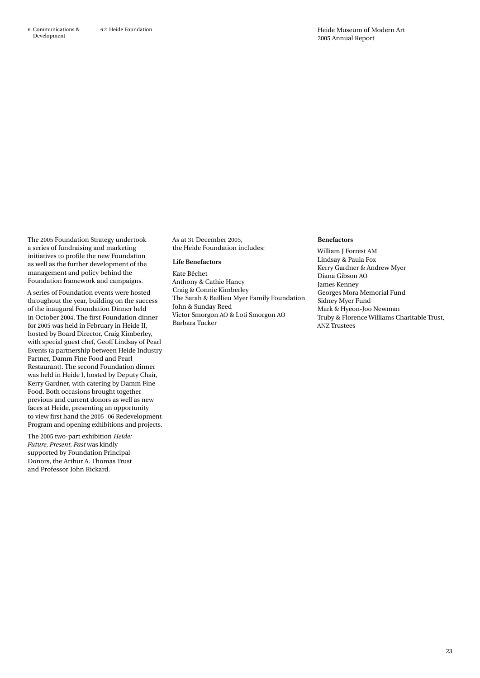The 2005 Foundation Strategy undertook a series of fundraising and marketing initiatives to profile the new Foundation as well as the further development of the management and policy behind the Foundation framework and campaigns.

A series of Foundation events were hosted throughout the year, building on the success of the inaugural Foundation Dinner held in October 2004. The first Foundation dinner for 2005 was held in February in Heide II, hosted by Board Director, Craig Kimberley, with special guest chef, Geoff Lindsay of Pearl Events (a partnership between Heide Industry Partner, Damm Fine Food and Pearl Restaurant). The second Foundation dinner was held in Heide I, hosted by Deputy Chair, Kerry Gardner, with catering by Damm Fine Food. Both occasions brought together previous and current donors as well as new faces at Heide, presenting an opportunity to view first hand the 2005–06 Redevelopment Program and opening exhibitions and projects.

The 2005 two-part exhibition *Heide: Future, Present, Past* was kindly supported by Foundation Principal Donors, the Arthur A. Thomas Trust and Professor John Rickard.

As at 31 December 2005, the Heide Foundation includes:

#### **Life Benefactors**

Kate Bêchet Anthony & Cathie Hancy Craig & Connie Kimberley The Sarah & Baillieu Myer Family Foundation John & Sunday Reed Victor Smorgon AO & Loti Smorgon AO Barbara Tucker

#### **Benefactors**

William J Forrest AM Lindsay & Paula Fox Kerry Gardner & Andrew Myer Diana Gibson AO James Kenney Georges Mora Memorial Fund Sidney Myer Fund Mark & Hyeon-Joo Newman Truby & Florence Williams Charitable Trust, ANZ Trustees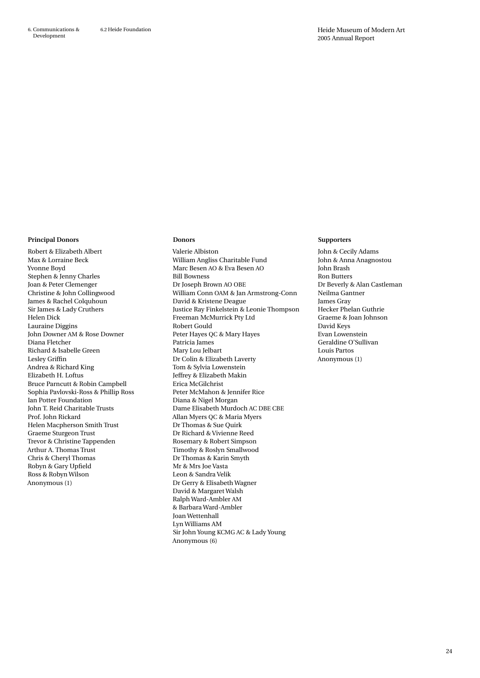#### **Principal Donors**

Robert & Elizabeth Albert Max & Lorraine Beck Yvonne Boyd Stephen & Jenny Charles Joan & Peter Clemenger Christine & John Collingwood James & Rachel Colquhoun Sir James & Lady Cruthers Helen Dick Lauraine Diggins John Downer AM & Rose Downer Diana Fletcher Richard & Isabelle Green Lesley Griffin Andrea & Richard King Elizabeth H. Loftus Bruce Parncutt & Robin Campbell Sophia Pavlovski-Ross & Phillip Ross Ian Potter Foundation John T. Reid Charitable Trusts Prof. John Rickard Helen Macpherson Smith Trust Graeme Sturgeon Trust Trevor & Christine Tappenden Arthur A. Thomas Trust Chris & Cheryl Thomas Robyn & Gary Upfield Ross & Robyn Wilson Anonymous (1)

#### **Donors**

Valerie Albiston William Angliss Charitable Fund Marc Besen AO & Eva Besen AO Bill Bowness Dr Joseph Brown AO OBE William Conn OAM & Jan Armstrong-Conn David & Kristene Deague Justice Ray Finkelstein & Leonie Thompson Freeman McMurrick Pty Ltd Robert Gould Peter Hayes QC & Mary Hayes Patricia James Mary Lou Jelbart Dr Colin & Elizabeth Laverty Tom & Sylvia Lowenstein Jeffrey & Elizabeth Makin Erica McGilchrist Peter McMahon & Jennifer Rice Diana & Nigel Morgan Dame Elisabeth Murdoch AC DBE CBE Allan Myers QC & Maria Myers Dr Thomas & Sue Quirk Dr Richard & Vivienne Reed Rosemary & Robert Simpson Timothy & Roslyn Smallwood Dr Thomas & Karin Smyth Mr & Mrs Joe Vasta Leon & Sandra Velik Dr Gerry & Elisabeth Wagner David & Margaret Walsh Ralph Ward-Ambler AM & Barbara Ward-Ambler Joan Wettenhall Lyn Williams AM Sir John Young KCMG AC & Lady Young Anonymous (6)

#### **Supporters**

John & Cecily Adams John & Anna Anagnostou John Brash Ron Butters Dr Beverly & Alan Castleman Neilma Gantner James Gray Hecker Phelan Guthrie Graeme & Joan Johnson David Keys Evan Lowenstein Geraldine O'Sullivan Louis Partos Anonymous (1)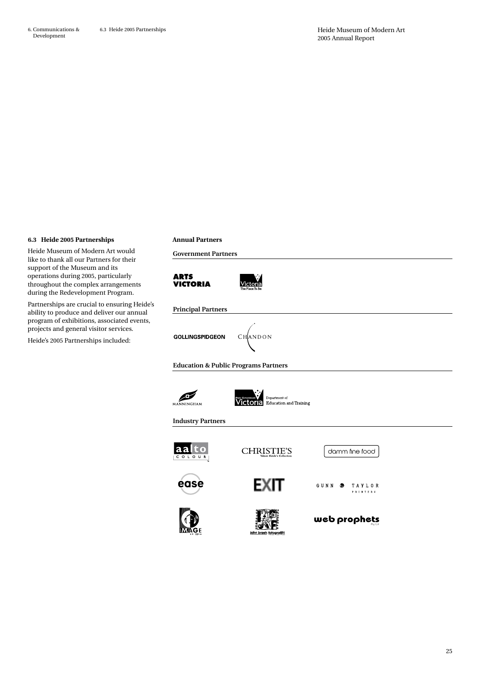#### **6.3 Heide 2005 Partnerships**

Heide Museum of Modern Art would like to thank all our Partners for their support of the Museum and its operations during 2005, particularly throughout the complex arrangements during the Redevelopment Program.

Partnerships are crucial to ensuring Heide's ability to produce and deliver our annual program of exhibitions, associated events, projects and general visitor services.

Heide's 2005 Partnerships included:

#### **Annual Partners**

**Government Partners**



#### **Principal Partners**

CHANDON **GOLLINGSPIDGEON** 

**Education & Public Programs Partners**





**Industry Partners**

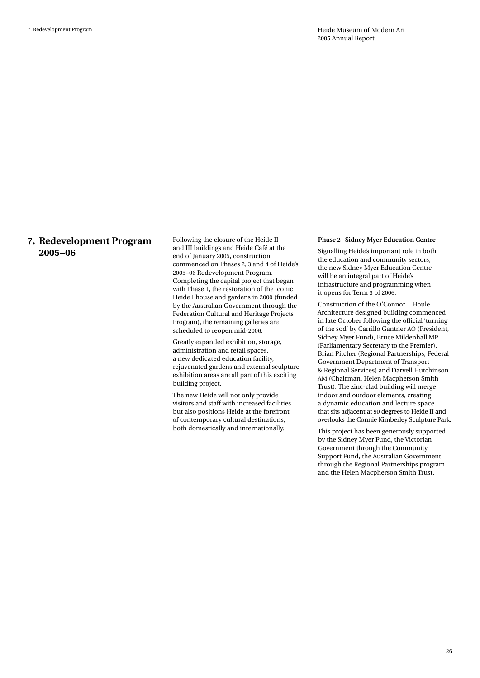### **7. Redevelopment Program 2005–06**

Following the closure of the Heide II and III buildings and Heide Café at the end of January 2005, construction commenced on Phases 2, 3 and 4 of Heide's 2005–06 Redevelopment Program. Completing the capital project that began with Phase 1, the restoration of the iconic Heide I house and gardens in 2000 (funded by the Australian Government through the Federation Cultural and Heritage Projects Program), the remaining galleries are scheduled to reopen mid-2006.

Greatly expanded exhibition, storage, administration and retail spaces, a new dedicated education facility, rejuvenated gardens and external sculpture exhibition areas are all part of this exciting building project.

The new Heide will not only provide visitors and staff with increased facilities but also positions Heide at the forefront of contemporary cultural destinations, both domestically and internationally.

#### **Phase 2–Sidney Myer Education Centre**

Signalling Heide's important role in both the education and community sectors, the new Sidney Myer Education Centre will be an integral part of Heide's infrastructure and programming when it opens for Term 3 of 2006.

Construction of the O'Connor + Houle Architecture designed building commenced in late October following the official 'turning of the sod' by Carrillo Gantner AO (President, Sidney Myer Fund), Bruce Mildenhall MP (Parliamentary Secretary to the Premier), Brian Pitcher (Regional Partnerships, Federal Government Department of Transport & Regional Services) and Darvell Hutchinson AM (Chairman, Helen Macpherson Smith Trust). The zinc-clad building will merge indoor and outdoor elements, creating a dynamic education and lecture space that sits adjacent at 90 degrees to Heide II and overlooks the Connie Kimberley Sculpture Park.

This project has been generously supported by the Sidney Myer Fund, the Victorian Government through the Community Support Fund, the Australian Government through the Regional Partnerships program and the Helen Macpherson Smith Trust.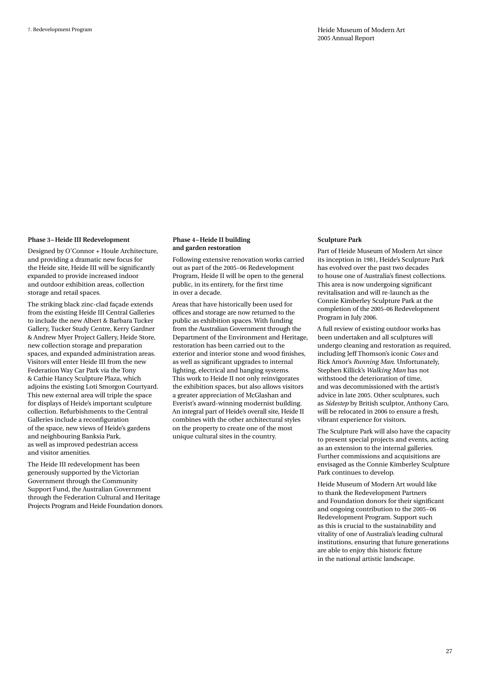#### **Phase 3– Heide III Redevelopment**

Designed by O'Connor + Houle Architecture, and providing a dramatic new focus for the Heide site, Heide III will be significantly expanded to provide increased indoor and outdoor exhibition areas, collection storage and retail spaces.

The striking black zinc-clad façade extends from the existing Heide III Central Galleries to include the new Albert & Barbara Tucker Gallery, Tucker Study Centre, Kerry Gardner & Andrew Myer Project Gallery, Heide Store, new collection storage and preparation spaces, and expanded administration areas. Visitors will enter Heide III from the new Federation Way Car Park via the Tony & Cathie Hancy Sculpture Plaza, which adjoins the existing Loti Smorgon Courtyard. This new external area will triple the space for displays of Heide's important sculpture collection. Refurbishments to the Central Galleries include a reconfiguration of the space, new views of Heide's gardens and neighbouring Banksia Park, as well as improved pedestrian access and visitor amenities.

The Heide III redevelopment has been generously supported by the Victorian Government through the Community Support Fund, the Australian Government through the Federation Cultural and Heritage Projects Program and Heide Foundation donors.

#### **Phase 4–Heide II building and garden restoration**

Following extensive renovation works carried out as part of the 2005–06 Redevelopment Program, Heide II will be open to the general public, in its entirety, for the first time in over a decade.

Areas that have historically been used for offices and storage are now returned to the public as exhibition spaces. With funding from the Australian Government through the Department of the Environment and Heritage, restoration has been carried out to the exterior and interior stone and wood finishes, as well as significant upgrades to internal lighting, electrical and hanging systems. This work to Heide II not only reinvigorates the exhibition spaces, but also allows visitors a greater appreciation of McGlashan and Everist's award-winning modernist building. An integral part of Heide's overall site, Heide II combines with the other architectural styles on the property to create one of the most unique cultural sites in the country.

#### **Sculpture Park**

Part of Heide Museum of Modern Art since its inception in 1981, Heide's Sculpture Park has evolved over the past two decades to house one of Australia's finest collections. This area is now undergoing significant revitalisation and will re-launch as the Connie Kimberley Sculpture Park at the completion of the 2005–06 Redevelopment Program in July 2006.

A full review of existing outdoor works has been undertaken and all sculptures will undergo cleaning and restoration as required, including Jeff Thomson's iconic *Cows* and Rick Amor's *Running Man*. Unfortunately, Stephen Killick's *Walking Man* has not withstood the deterioration of time, and was decommissioned with the artist's advice in late 2005. Other sculptures, such as *Sidestep* by British sculptor, Anthony Caro, will be relocated in 2006 to ensure a fresh, vibrant experience for visitors.

The Sculpture Park will also have the capacity to present special projects and events, acting as an extension to the internal galleries. Further commissions and acquisitions are envisaged as the Connie Kimberley Sculpture Park continues to develop.

Heide Museum of Modern Art would like to thank the Redevelopment Partners and Foundation donors for their significant and ongoing contribution to the 2005–06 Redevelopment Program. Support such as this is crucial to the sustainability and vitality of one of Australia's leading cultural institutions, ensuring that future generations are able to enjoy this historic fixture in the national artistic landscape.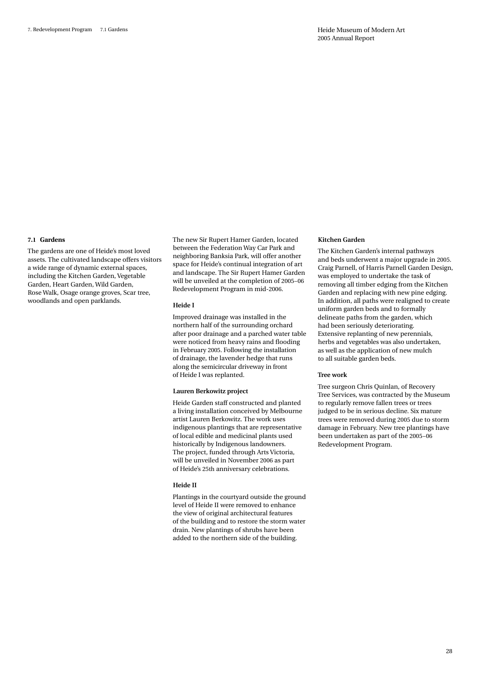#### **7.1 Gardens**

The gardens are one of Heide's most loved assets. The cultivated landscape offers visitors a wide range of dynamic external spaces, including the Kitchen Garden, Vegetable Garden, Heart Garden, Wild Garden, Rose Walk, Osage orange groves, Scar tree, woodlands and open parklands.

The new Sir Rupert Hamer Garden, located between the Federation Way Car Park and neighboring Banksia Park, will offer another space for Heide's continual integration of art and landscape. The Sir Rupert Hamer Garden will be unveiled at the completion of 2005–06 Redevelopment Program in mid-2006.

#### **Heide I**

Improved drainage was installed in the northern half of the surrounding orchard after poor drainage and a parched water table were noticed from heavy rains and flooding in February 2005. Following the installation of drainage, the lavender hedge that runs along the semicircular driveway in front of Heide I was replanted.

#### **Lauren Berkowitz project**

Heide Garden staff constructed and planted a living installation conceived by Melbourne artist Lauren Berkowitz. The work uses indigenous plantings that are representative of local edible and medicinal plants used historically by Indigenous landowners. The project, funded through Arts Victoria, will be unveiled in November 2006 as part of Heide's 25th anniversary celebrations.

#### **Heide II**

Plantings in the courtyard outside the ground level of Heide II were removed to enhance the view of original architectural features of the building and to restore the storm water drain. New plantings of shrubs have been added to the northern side of the building.

#### **Kitchen Garden**

The Kitchen Garden's internal pathways and beds underwent a major upgrade in 2005. Craig Parnell, of Harris Parnell Garden Design, was employed to undertake the task of removing all timber edging from the Kitchen Garden and replacing with new pine edging. In addition, all paths were realigned to create uniform garden beds and to formally delineate paths from the garden, which had been seriously deteriorating. Extensive replanting of new perennials, herbs and vegetables was also undertaken, as well as the application of new mulch to all suitable garden beds.

#### **Tree work**

Tree surgeon Chris Quinlan, of Recovery Tree Services, was contracted by the Museum to regularly remove fallen trees or trees judged to be in serious decline. Six mature trees were removed during 2005 due to storm damage in February. New tree plantings have been undertaken as part of the 2005–06 Redevelopment Program.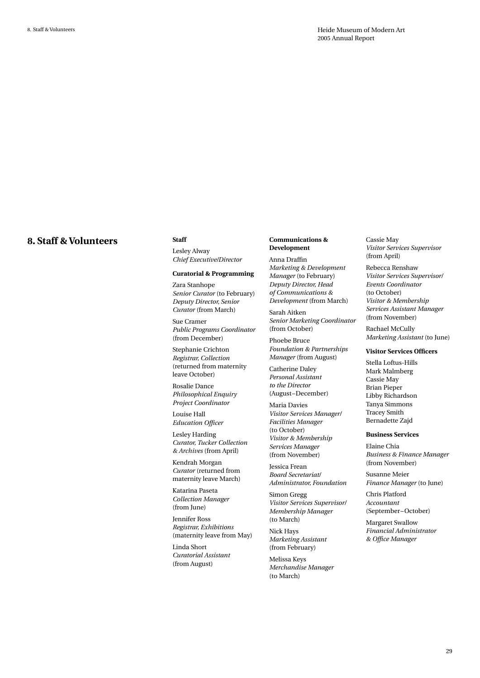### **8. Staff & Volunteers**

**Staff**

Lesley Alway *Chief Executive/Director*

#### **Curatorial & Programming**

Zara Stanhope *Senior Curator* (to February) *Deputy Director, Senior Curator* (from March)

Sue Cramer *Public Programs Coordinator*  (from December)

Stephanie Crichton *Registrar, Collection*  (returned from maternity leave October)

Rosalie Dance *Philosophical Enquiry Project Coordinator*

Louise Hall *Education Officer* 

Lesley Harding *Curator, Tucker Collection & Archives* (from April)

Kendrah Morgan *Curator* (returned from maternity leave March)

Katarina Paseta *Collection Manager*  (from June)

Jennifer Ross *Registrar, Exhibitions*  (maternity leave from May)

Linda Short *Curatorial Assistant*  (from August)

#### **Communications & Development**

Anna Draffin *Marketing & Development Manager* (to February) *Deputy Director, Head of Communications & Development* (from March)

Sarah Aitken *Senior Marketing Coordinator*  (from October)

Phoebe Bruce *Foundation & Partnerships Manager* (from August)

Catherine Daley *Personal Assistant to the Director*  (August–December)

Maria Davies *Visitor Services Manager/ Facilities Manager*  (to October) *Visitor & Membership Services Manager*  (from November)

Jessica Frean *Board Secretariat/ Administrator, Foundation*

Simon Gregg *Visitor Services Supervisor/ Membership Manager*  (to March)

Nick Hays *Marketing Assistant*  (from February)

Melissa Keys *Merchandise Manager*  (to March)

Cassie May *Visitor Services Supervisor*  (from April)

Rebecca Renshaw *Visitor Services Supervisor/ Events Coordinator*  (to October) *Visitor & Membership Services Assistant Manager*  (from November)

Rachael McCully *Marketing Assistant* (to June)

#### **Visitor Services Officers**

Stella Loftus-Hills Mark Malmberg Cassie May Brian Pieper Libby Richardson Tanya Simmons Tracey Smith Bernadette Zajd

#### **Business Services**

Elaine Chia *Business & Finance Manager*  (from November)

Susanne Meier *Finance Manager* (to June)

Chris Platford *Accountant*  (September–October)

Margaret Swallow *Financial Administrator & Office Manager*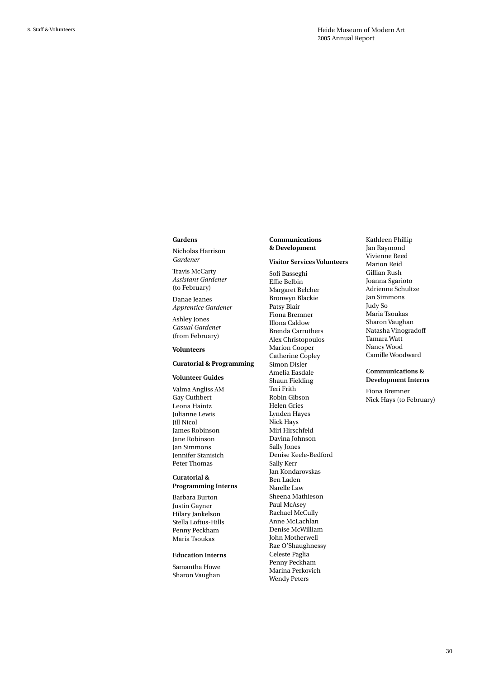#### **Gardens**

Nicholas Harrison *Gardener* 

Travis McCarty *Assistant Gardener*  (to February)

Danae Jeanes *Apprentice Gardener*

Ashley Jones *Casual Gardener*  (from February)

#### **Volunteers**

#### **Curatorial & Programming**

#### **Volunteer Guides**

Valma Angliss AM Gay Cuthbert Leona Haintz Julianne Lewis Jill Nicol James Robinson Jane Robinson Jan Simmons Jennifer Stanisich Peter Thomas

#### **Curatorial & Programming Interns**

Barbara Burton Justin Gayner Hilary Jankelson Stella Loftus-Hills

# Maria Tsoukas **Education Interns**

Penny Peckham

Samantha Howe Sharon Vaughan

#### **Communications & Development**

#### **Visitor Services Volunteers**

Sofi Basseghi Effie Belbin Margaret Belcher Bronwyn Blackie Patsy Blair Fiona Bremner Illona Caldow Brenda Carruthers Alex Christopoulos Marion Cooper Catherine Copley Simon Disler Amelia Easdale Shaun Fielding Teri Frith Robin Gibson Helen Gries Lynden Hayes Nick Hays Miri Hirschfeld Davina Johnson Sally Jones Denise Keele-Bedford Sally Kerr Jan Kondarovskas Ben Laden Narelle Law Sheena Mathieson Paul McAsey Rachael McCully Anne McLachlan Denise McWilliam John Motherwell Rae O'Shaughnessy Celeste Paglia Penny Peckham Marina Perkovich Wendy Peters

Kathleen Phillip Jan Raymond Vivienne Reed Marion Reid Gillian Rush Joanna Sgarioto Adrienne Schultze Jan Simmons Judy So Maria Tsoukas Sharon Vaughan Natasha Vinogradoff Tamara Watt Nancy Wood Camille Woodward

#### **Communications & Development Interns**

Fiona Bremner Nick Hays (to February)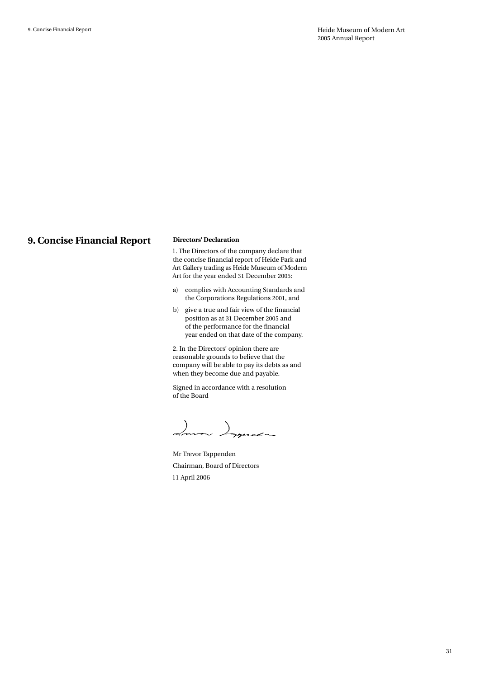### **9. Concise Financial Report**

#### **Directors' Declaration**

1. The Directors of the company declare that the concise financial report of Heide Park and Art Gallery trading as Heide Museum of Modern Art for the year ended 31 December 2005:

- a) complies with Accounting Standards and the Corporations Regulations 2001, and
- b) give a true and fair view of the financial position as at 31 December 2005 and of the performance for the financial year ended on that date of the company.

2. In the Directors' opinion there are reasonable grounds to believe that the company will be able to pay its debts as and when they become due and payable.

Signed in accordance with a resolution of the Board

Imma Ingenes

Mr Trevor Tappenden Chairman, Board of Directors 11 April 2006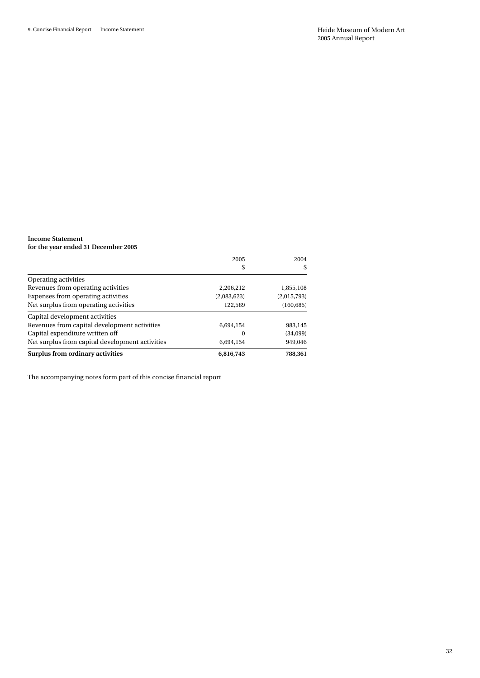#### **Income Statement for the year ended 31 December 2005**

|                                                 | 2005        | 2004        |
|-------------------------------------------------|-------------|-------------|
|                                                 | \$          | \$          |
| <b>Operating activities</b>                     |             |             |
| Revenues from operating activities              | 2.206.212   | 1,855,108   |
| Expenses from operating activities              | (2.083.623) | (2.015.793) |
| Net surplus from operating activities           | 122.589     | (160, 685)  |
| Capital development activities                  |             |             |
| Revenues from capital development activities    | 6.694.154   | 983,145     |
| Capital expenditure written off                 | $\Omega$    | (34,099)    |
| Net surplus from capital development activities | 6.694.154   | 949,046     |
| Surplus from ordinary activities                | 6,816,743   | 788.361     |

The accompanying notes form part of this concise financial report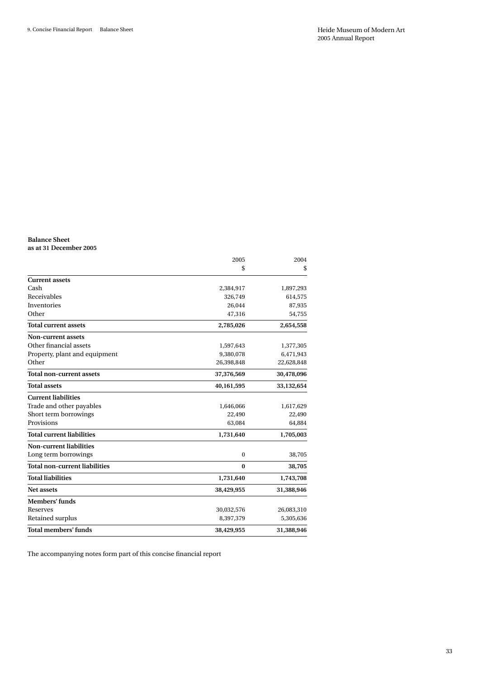#### **Balance Sheet as at 31 December 2005**

|                                      | 2005         | 2004       |
|--------------------------------------|--------------|------------|
|                                      | \$           | \$         |
| <b>Current assets</b>                |              |            |
| Cash                                 | 2,384,917    | 1,897,293  |
| Receivables                          | 326,749      | 614,575    |
| Inventories                          | 26,044       | 87,935     |
| Other                                | 47,316       | 54,755     |
| <b>Total current assets</b>          | 2,785,026    | 2,654,558  |
| <b>Non-current assets</b>            |              |            |
| Other financial assets               | 1,597,643    | 1,377,305  |
| Property, plant and equipment        | 9,380,078    | 6,471,943  |
| Other                                | 26,398,848   | 22,628,848 |
| <b>Total non-current assets</b>      | 37,376,569   | 30,478,096 |
| <b>Total assets</b>                  | 40,161,595   | 33,132,654 |
| <b>Current liabilities</b>           |              |            |
| Trade and other payables             | 1,646,066    | 1,617,629  |
| Short term borrowings                | 22,490       | 22,490     |
| Provisions                           | 63,084       | 64,884     |
| <b>Total current liabilities</b>     | 1,731,640    | 1,705,003  |
| Non-current liabilities              |              |            |
| Long term borrowings                 | $\mathbf{0}$ | 38,705     |
| <b>Total non-current liabilities</b> | $\bf{0}$     | 38,705     |
| <b>Total liabilities</b>             | 1,731,640    | 1,743,708  |
| <b>Net assets</b>                    | 38,429,955   | 31,388,946 |
| Members' funds                       |              |            |
| Reserves                             | 30,032,576   | 26,083,310 |
| Retained surplus                     | 8,397,379    | 5,305,636  |
| Total members' funds                 | 38,429,955   | 31,388,946 |

The accompanying notes form part of this concise financial report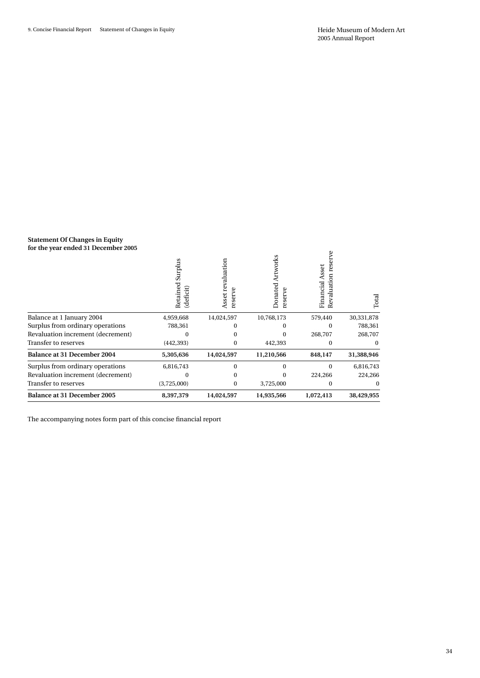#### **Statement Of Changes in Equity for the year ended 31 December 2005**

| 101 the year ended of <i>Becompet</i> 2000                        | Surplus<br>Retained<br>eficit)<br>草 | Asset revaluation<br>erve<br>res | Artworks<br>Donated<br>erve<br>res | res<br>Financial Asset<br>valuation<br>æ | Total      |
|-------------------------------------------------------------------|-------------------------------------|----------------------------------|------------------------------------|------------------------------------------|------------|
| Balance at 1 January 2004                                         | 4,959,668                           | 14,024,597                       | 10,768,173                         | 579,440                                  | 30,331,878 |
| Surplus from ordinary operations                                  | 788,361                             |                                  | 0                                  | 0                                        | 788,361    |
| Revaluation increment (decrement)                                 |                                     |                                  | 0                                  | 268,707                                  | 268,707    |
| Transfer to reserves                                              | (442, 393)                          | 0                                | 442,393                            | $\Omega$                                 | $^{(1)}$   |
| Balance at 31 December 2004                                       | 5,305,636                           | 14,024,597                       | 11,210,566                         | 848,147                                  | 31,388,946 |
| Surplus from ordinary operations                                  | 6,816,743                           | 0                                | $\Omega$                           | $\Omega$                                 | 6,816,743  |
| Revaluation increment (decrement)                                 |                                     |                                  | 0                                  | 224,266                                  | 224,266    |
| Transfer to reserves                                              | (3,725,000)                         | 0                                | 3,725,000                          | 0                                        | 0          |
| <b>Balance at 31 December 2005</b>                                | 8,397,379                           | 14,024,597                       | 14,935,566                         | 1,072,413                                | 38,429,955 |
| The accompanying notes form part of this concise financial report |                                     |                                  |                                    |                                          |            |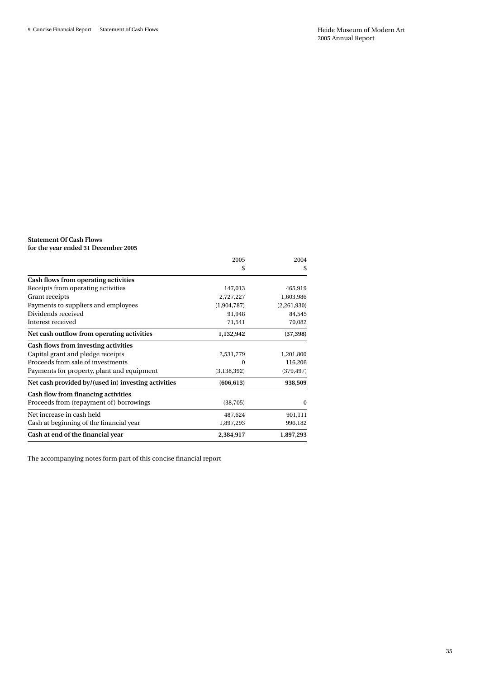#### **Statement Of Cash Flows for the year ended 31 December 2005**

|                                                     | 2005          | 2004        |
|-----------------------------------------------------|---------------|-------------|
|                                                     | \$            | \$          |
| Cash flows from operating activities                |               |             |
| Receipts from operating activities                  | 147,013       | 465,919     |
| Grant receipts                                      | 2,727,227     | 1,603,986   |
| Payments to suppliers and employees                 | (1,904,787)   | (2,261,930) |
| Dividends received                                  | 91,948        | 84,545      |
| Interest received                                   | 71,541        | 70,082      |
| Net cash outflow from operating activities          | 1,132,942     | (37, 398)   |
| Cash flows from investing activities                |               |             |
| Capital grant and pledge receipts                   | 2,531,779     | 1,201,800   |
| Proceeds from sale of investments                   | $\Omega$      | 116,206     |
| Payments for property, plant and equipment          | (3, 138, 392) | (379, 497)  |
| Net cash provided by/(used in) investing activities | (606, 613)    | 938,509     |
| Cash flow from financing activities                 |               |             |
| Proceeds from (repayment of) borrowings             | (38, 705)     | 0           |
| Net increase in cash held                           | 487,624       | 901,111     |
| Cash at beginning of the financial year             | 1,897,293     | 996,182     |
| Cash at end of the financial year                   | 2,384,917     | 1,897,293   |

The accompanying notes form part of this concise financial report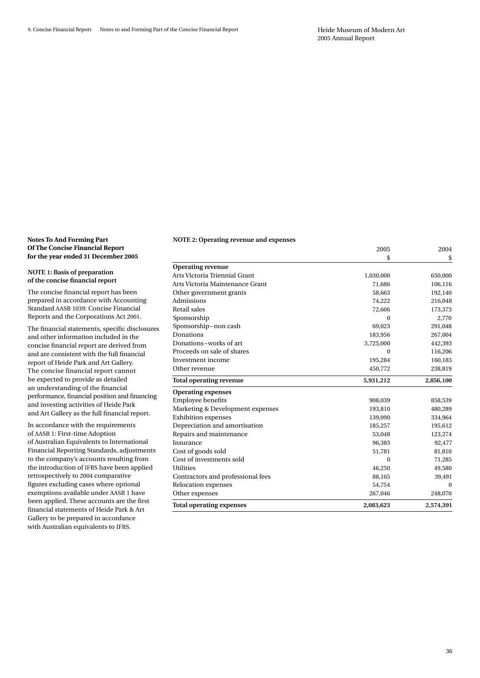2005 2004

#### **Notes To And Forming Part Of The Concise Financial Report for the year ended 31 December 2005**

#### **NOTE 1: Basis of preparation of the concise financial report**

The concise financial report has been prepared in accordance with Accounting Standard AASB 1039: Concise Financial Reports and the Corporations Act 2001.

The financial statements, specific disclosures and other information included in the concise financial report are derived from and are consistent with the full financial report of Heide Park and Art Gallery. The concise financial report cannot be expected to provide as detailed an understanding of the financial performance, financial position and financing and investing activities of Heide Park and Art Gallery as the full financial report.

In accordance with the requirements of AASB 1: First-time Adoption of Australian Equivalents to International Financial Reporting Standards, adjustments to the company's accounts resulting from the introduction of IFRS have been applied retrospectively to 2004 comparative figures excluding cases where optional exemptions available under AASB 1 have been applied. These accounts are the first financial statements of Heide Park & Art Gallery to be prepared in accordance with Australian equivalents to IFRS.

#### **NOTE 2: Operating revenue and expenses**

|                                   | \$        | \$        |
|-----------------------------------|-----------|-----------|
| <b>Operating revenue</b>          |           |           |
| Arts Victoria Triennial Grant     | 1,030,000 | 650,000   |
| Arts Victoria Maintenance Grant   | 71,686    | 106,116   |
| Other government grants           | 58,663    | 192,140   |
| Admissions                        | 74,222    | 216,048   |
| Retail sales                      | 72,606    | 173,373   |
| Sponsorship                       | $\Omega$  | 2,770     |
| Sponsorship-non cash              | 69,023    | 291,048   |
| Donations                         | 183,956   | 267,004   |
| Donations-works of art            | 3,725,000 | 442,393   |
| Proceeds on sale of shares        | $\Omega$  | 116,206   |
| Investment income                 | 195,284   | 160,183   |
| Other revenue                     | 450,772   | 238,819   |
| <b>Total operating revenue</b>    | 5,931,212 | 2,856,100 |
| <b>Operating expenses</b>         |           |           |
| <b>Employee benefits</b>          | 908,039   | 858,539   |
| Marketing & Development expenses  | 193,810   | 480,289   |
| <b>Exhibition</b> expenses        | 139,090   | 334,964   |
| Depreciation and amortisation     | 185,257   | 195,612   |
| Repairs and maintenance           | 53,048    | 123,274   |
| Insurance                         | 96,383    | 92,477    |
| Cost of goods sold                | 51,781    | 81,810    |
| Cost of investments sold          | $\Omega$  | 71,285    |
| <b>Utilities</b>                  | 46,250    | 49,580    |
| Contractors and professional fees | 88,165    | 39,491    |
| Relocation expenses               | 54,754    | $\theta$  |
| Other expenses                    | 267,046   | 248,070   |
| <b>Total operating expenses</b>   | 2,083,623 | 2,574,391 |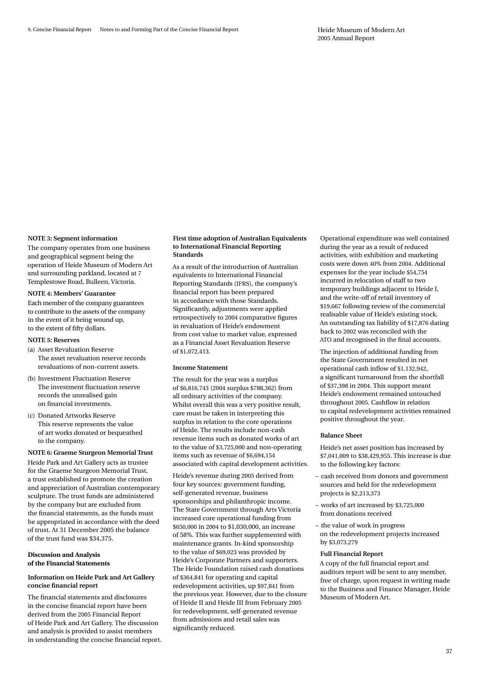#### **NOTE 3: Segment information**

The company operates from one business and geographical segment being the operation of Heide Museum of Modern Art and surrounding parkland, located at 7 Templestowe Road, Bulleen, Victoria.

#### **NOTE 4: Members' Guarantee**

Each member of the company guarantees to contribute to the assets of the company in the event of it being wound up, to the extent of fifty dollars.

- **NOTE 5: Reserves**
- (a) Asset Revaluation Reserve The asset revaluation reserve records revaluations of non-current assets.
- (b) Investment Fluctuation Reserve The investment fluctuation reserve records the unrealised gain on financial investments.
- (c) Donated Artworks Reserve This reserve represents the value of art works donated or bequeathed to the company.

#### **NOTE 6: Graeme Sturgeon Memorial Trust**

Heide Park and Art Gallery acts as trustee for the Graeme Sturgeon Memorial Trust, a trust established to promote the creation and appreciation of Australian contemporary sculpture. The trust funds are administered by the company but are excluded from the financial statements, as the funds must be appropriated in accordance with the deed of trust. At 31 December 2005 the balance of the trust fund was \$34,375.

#### **Discussion and Analysis of the Financial Statements**

#### **Information on Heide Park and Art Gallery concise financial report**

The financial statements and disclosures in the concise financial report have been derived from the 2005 Financial Report of Heide Park and Art Gallery. The discussion and analysis is provided to assist members in understanding the concise financial report.

#### **First time adoption of Australian Equivalents to International Financial Reporting Standards**

As a result of the introduction of Australian equivalents to International Financial Reporting Standards (IFRS), the company's financial report has been prepared in accordance with those Standards. Significantly, adjustments were applied retrospectively to 2004 comparative figures in revaluation of Heide's endowment from cost value to market value, expressed as a Financial Asset Revaluation Reserve of \$1,072,413.

#### **Income Statement**

The result for the year was a surplus of \$6,816,743 (2004 surplus \$788,362) from all ordinary activities of the company. Whilst overall this was a very positive result, care must be taken in interpreting this surplus in relation to the core operations of Heide. The results include non-cash revenue items such as donated works of art to the value of \$3,725,000 and non-operating items such as revenue of \$6,694,154 associated with capital development activities.

Heide's revenue during 2005 derived from four key sources: government funding, self-generated revenue, business sponsorships and philanthropic income. The State Government through Arts Victoria increased core operational funding from \$650,000 in 2004 to \$1,030,000, an increase of 58%. This was further supplemented with maintenance grants. In-kind sponsorship to the value of \$69,023 was provided by Heide's Corporate Partners and supporters. The Heide Foundation raised cash donations of \$364,841 for operating and capital redevelopment activities, up \$97,841 from the previous year. However, due to the closure of Heide II and Heide III from February 2005 for redevelopment, self-generated revenue from admissions and retail sales was significantly reduced.

Operational expenditure was well contained during the year as a result of reduced activities, with exhibition and marketing costs were down 40% from 2004. Additional expenses for the year include \$54,754 incurred in relocation of staff to two temporary buildings adjacent to Heide I, and the write-off of retail inventory of \$19,667 following review of the commercial realisable value of Heide's existing stock. An outstanding tax liability of \$17,876 dating back to 2002 was reconciled with the ATO and recognised in the final accounts.

The injection of additional funding from the State Government resulted in net operational cash inflow of \$1,132,942, a significant turnaround from the shortfall of \$37,398 in 2004. This support meant Heide's endowment remained untouched throughout 2005. Cashflow in relation to capital redevelopment activities remained positive throughout the year.

#### **Balance Sheet**

Heide's net asset position has increased by \$7,041,009 to \$38,429,955. This increase is due to the following key factors:

- cash received from donors and government sources and held for the redevelopment projects is \$2,213,373
- works of art increased by \$3,725,000 from donations received
- the value of work in progress on the redevelopment projects increased by \$3,073,279

#### **Full Financial Report**

A copy of the full financial report and auditors report will be sent to any member, free of charge, upon request in writing made to the Business and Finance Manager, Heide Museum of Modern Art.